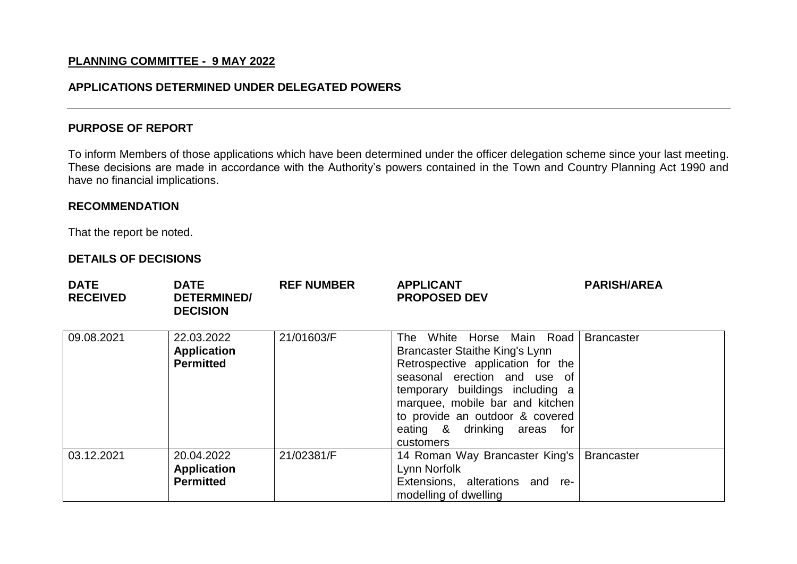# **PLANNING COMMITTEE - 9 MAY 2022**

# **APPLICATIONS DETERMINED UNDER DELEGATED POWERS**

## **PURPOSE OF REPORT**

To inform Members of those applications which have been determined under the officer delegation scheme since your last meeting. These decisions are made in accordance with the Authority's powers contained in the Town and Country Planning Act 1990 and have no financial implications.

## **RECOMMENDATION**

That the report be noted.

## **DETAILS OF DECISIONS**

| <b>DATE</b><br><b>RECEIVED</b> | <b>DATE</b><br><b>DETERMINED/</b><br><b>DECISION</b> | <b>REF NUMBER</b> | <b>APPLICANT</b><br><b>PROPOSED DEV</b>                                                                                                                                                                                                                                               | <b>PARISH/AREA</b> |
|--------------------------------|------------------------------------------------------|-------------------|---------------------------------------------------------------------------------------------------------------------------------------------------------------------------------------------------------------------------------------------------------------------------------------|--------------------|
| 09.08.2021                     | 22.03.2022<br><b>Application</b><br><b>Permitted</b> | 21/01603/F        | The White Horse Main Road<br>Brancaster Staithe King's Lynn<br>Retrospective application for the<br>seasonal erection and use of<br>temporary buildings including a<br>marquee, mobile bar and kitchen<br>to provide an outdoor & covered<br>eating & drinking areas for<br>customers | <b>Brancaster</b>  |
| 03.12.2021                     | 20.04.2022<br><b>Application</b><br><b>Permitted</b> | 21/02381/F        | 14 Roman Way Brancaster King's<br>Lynn Norfolk<br>Extensions, alterations and re-<br>modelling of dwelling                                                                                                                                                                            | <b>Brancaster</b>  |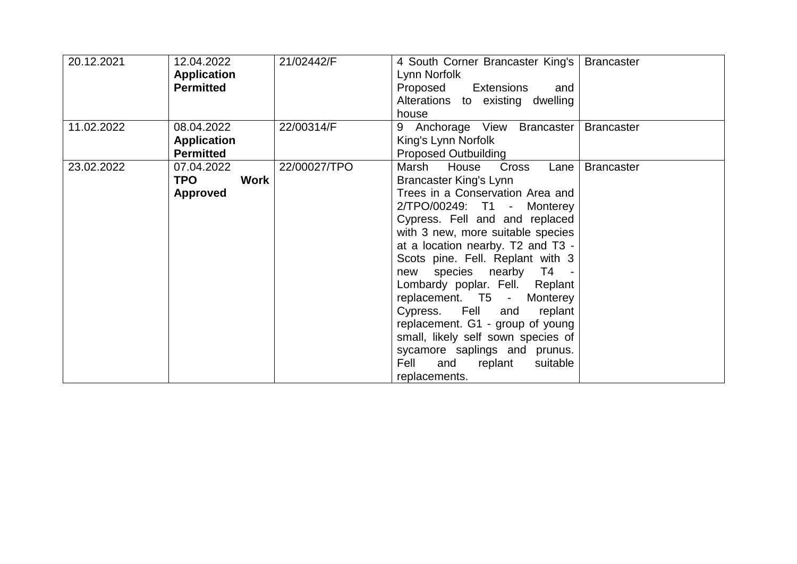| 20.12.2021 | 12.04.2022<br><b>Application</b><br><b>Permitted</b>       | 21/02442/F   | 4 South Corner Brancaster King's  <br>Lynn Norfolk<br>Proposed<br>Extensions<br>and<br>Alterations to existing dwelling<br>house                                                                                                                                                                                                                                                                                                                                                                                                                                                 | <b>Brancaster</b> |
|------------|------------------------------------------------------------|--------------|----------------------------------------------------------------------------------------------------------------------------------------------------------------------------------------------------------------------------------------------------------------------------------------------------------------------------------------------------------------------------------------------------------------------------------------------------------------------------------------------------------------------------------------------------------------------------------|-------------------|
| 11.02.2022 | 08.04.2022<br><b>Application</b><br><b>Permitted</b>       | 22/00314/F   | 9 Anchorage View Brancaster<br>King's Lynn Norfolk<br><b>Proposed Outbuilding</b>                                                                                                                                                                                                                                                                                                                                                                                                                                                                                                | <b>Brancaster</b> |
| 23.02.2022 | 07.04.2022<br><b>TPO</b><br><b>Work</b><br><b>Approved</b> | 22/00027/TPO | Marsh<br>House<br>Cross<br>Lane<br><b>Brancaster King's Lynn</b><br>Trees in a Conservation Area and<br>2/TPO/00249: T1 - Monterey<br>Cypress. Fell and and replaced<br>with 3 new, more suitable species<br>at a location nearby. T2 and T3 -<br>Scots pine. Fell. Replant with 3<br>species nearby T4<br>new<br>Lombardy poplar. Fell. Replant<br>replacement. T5 - Monterey<br>Cypress. Fell and<br>replant<br>replacement. G1 - group of young<br>small, likely self sown species of<br>sycamore saplings and prunus.<br>Fell<br>replant<br>suitable<br>and<br>replacements. | <b>Brancaster</b> |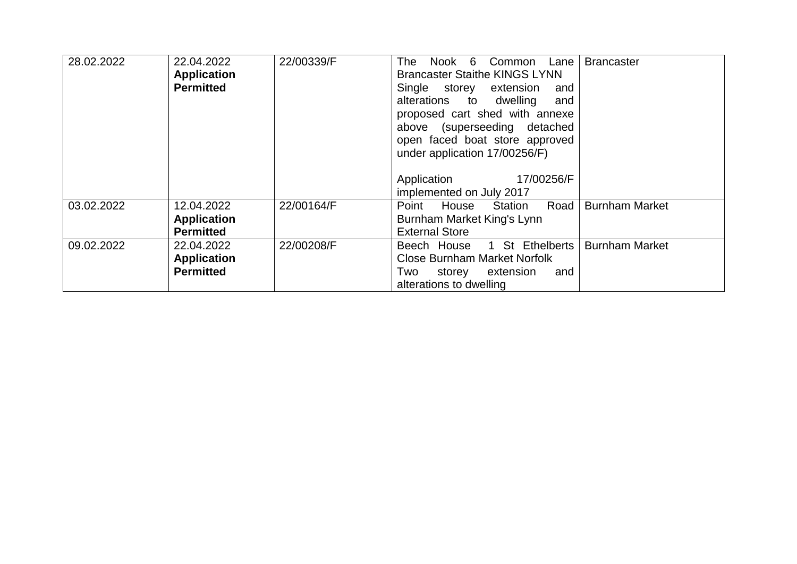| 28.02.2022 | 22.04.2022         | 22/00339/F | Nook 6<br>The .<br>Common<br>Lane    | <b>Brancaster</b>     |
|------------|--------------------|------------|--------------------------------------|-----------------------|
|            | <b>Application</b> |            | <b>Brancaster Staithe KINGS LYNN</b> |                       |
|            | <b>Permitted</b>   |            | Single storey extension<br>and       |                       |
|            |                    |            | alterations to<br>dwelling<br>and    |                       |
|            |                    |            | proposed cart shed with annexe       |                       |
|            |                    |            | above (superseeding detached         |                       |
|            |                    |            | open faced boat store approved       |                       |
|            |                    |            | under application 17/00256/F)        |                       |
|            |                    |            |                                      |                       |
|            |                    |            | Application<br>17/00256/F            |                       |
|            |                    |            | implemented on July 2017             |                       |
| 03.02.2022 | 12.04.2022         | 22/00164/F | Road<br>Point<br>Station<br>House    | <b>Burnham Market</b> |
|            | <b>Application</b> |            | Burnham Market King's Lynn           |                       |
|            | <b>Permitted</b>   |            | <b>External Store</b>                |                       |
| 09.02.2022 | 22.04.2022         | 22/00208/F | 1 St Ethelberts<br>Beech House       | <b>Burnham Market</b> |
|            | <b>Application</b> |            | <b>Close Burnham Market Norfolk</b>  |                       |
|            | <b>Permitted</b>   |            | Two<br>extension<br>and<br>storey    |                       |
|            |                    |            | alterations to dwelling              |                       |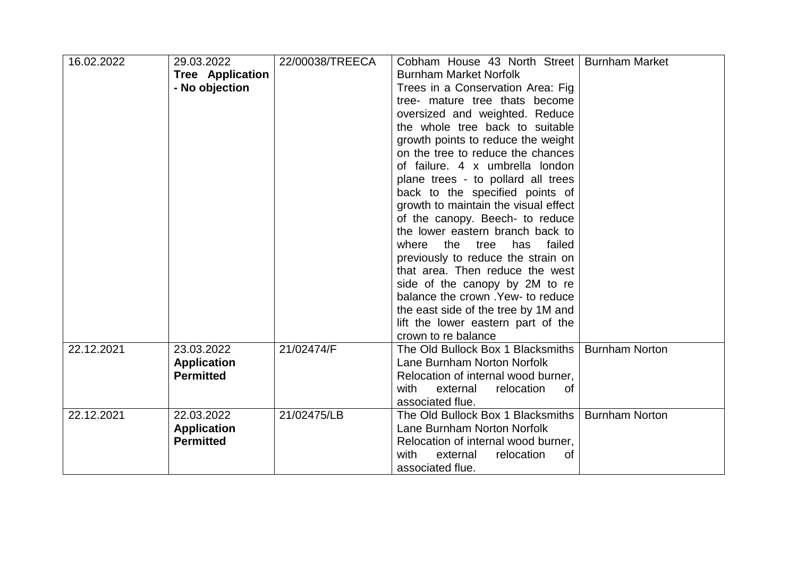| 16.02.2022 | 29.03.2022              | 22/00038/TREECA | Cobham House 43 North Street   Burnham Market |                       |
|------------|-------------------------|-----------------|-----------------------------------------------|-----------------------|
|            | <b>Tree Application</b> |                 | <b>Burnham Market Norfolk</b>                 |                       |
|            | - No objection          |                 | Trees in a Conservation Area: Fig.            |                       |
|            |                         |                 | tree- mature tree thats become                |                       |
|            |                         |                 | oversized and weighted. Reduce                |                       |
|            |                         |                 | the whole tree back to suitable               |                       |
|            |                         |                 | growth points to reduce the weight            |                       |
|            |                         |                 | on the tree to reduce the chances             |                       |
|            |                         |                 | of failure. 4 x umbrella london               |                       |
|            |                         |                 | plane trees - to pollard all trees            |                       |
|            |                         |                 | back to the specified points of               |                       |
|            |                         |                 | growth to maintain the visual effect          |                       |
|            |                         |                 | of the canopy. Beech- to reduce               |                       |
|            |                         |                 | the lower eastern branch back to              |                       |
|            |                         |                 | the<br>has<br>failed<br>where<br>tree         |                       |
|            |                         |                 | previously to reduce the strain on            |                       |
|            |                         |                 | that area. Then reduce the west               |                       |
|            |                         |                 | side of the canopy by 2M to re                |                       |
|            |                         |                 | balance the crown . Yew- to reduce            |                       |
|            |                         |                 | the east side of the tree by 1M and           |                       |
|            |                         |                 | lift the lower eastern part of the            |                       |
|            |                         |                 | crown to re balance                           |                       |
| 22.12.2021 | 23.03.2022              | 21/02474/F      | The Old Bullock Box 1 Blacksmiths             | <b>Burnham Norton</b> |
|            | <b>Application</b>      |                 | Lane Burnham Norton Norfolk                   |                       |
|            | <b>Permitted</b>        |                 | Relocation of internal wood burner,           |                       |
|            |                         |                 | external<br>relocation<br>with<br>0f          |                       |
|            |                         |                 | associated flue.                              |                       |
| 22.12.2021 | 22.03.2022              | 21/02475/LB     | The Old Bullock Box 1 Blacksmiths             | <b>Burnham Norton</b> |
|            | <b>Application</b>      |                 | Lane Burnham Norton Norfolk                   |                       |
|            | <b>Permitted</b>        |                 | Relocation of internal wood burner,           |                       |
|            |                         |                 | external<br>with<br>relocation<br>0f          |                       |
|            |                         |                 | associated flue.                              |                       |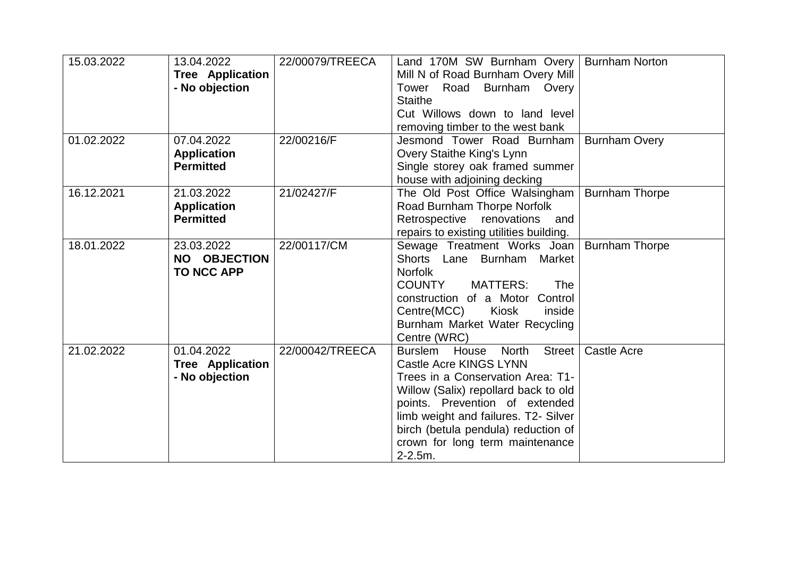| 15.03.2022 | 13.04.2022<br><b>Tree Application</b><br>- No objection | 22/00079/TREECA | Land 170M SW Burnham Overy<br>Mill N of Road Burnham Overy Mill<br>Road Burnham Overy<br>Tower<br><b>Staithe</b><br>Cut Willows down to land level<br>removing timber to the west bank                                                                                                                             | <b>Burnham Norton</b> |
|------------|---------------------------------------------------------|-----------------|--------------------------------------------------------------------------------------------------------------------------------------------------------------------------------------------------------------------------------------------------------------------------------------------------------------------|-----------------------|
| 01.02.2022 | 07.04.2022<br><b>Application</b><br><b>Permitted</b>    | 22/00216/F      | Jesmond Tower Road Burnham<br>Overy Staithe King's Lynn<br>Single storey oak framed summer<br>house with adjoining decking                                                                                                                                                                                         | <b>Burnham Overy</b>  |
| 16.12.2021 | 21.03.2022<br><b>Application</b><br><b>Permitted</b>    | 21/02427/F      | The Old Post Office Walsingham<br>Road Burnham Thorpe Norfolk<br>Retrospective renovations<br>and<br>repairs to existing utilities building.                                                                                                                                                                       | <b>Burnham Thorpe</b> |
| 18.01.2022 | 23.03.2022<br>NO OBJECTION<br><b>TO NCC APP</b>         | 22/00117/CM     | Sewage Treatment Works Joan<br>Shorts Lane Burnham Market<br><b>Norfolk</b><br><b>MATTERS:</b><br><b>COUNTY</b><br>The<br>construction of a Motor Control<br>Centre(MCC)<br>Kiosk<br>inside<br>Burnham Market Water Recycling<br>Centre (WRC)                                                                      | <b>Burnham Thorpe</b> |
| 21.02.2022 | 01.04.2022<br><b>Tree Application</b><br>- No objection | 22/00042/TREECA | North<br><b>Street</b><br>Burslem House<br>Castle Acre KINGS LYNN<br>Trees in a Conservation Area: T1-<br>Willow (Salix) repollard back to old<br>points. Prevention of extended<br>limb weight and failures. T2- Silver<br>birch (betula pendula) reduction of<br>crown for long term maintenance<br>$2 - 2.5m$ . | Castle Acre           |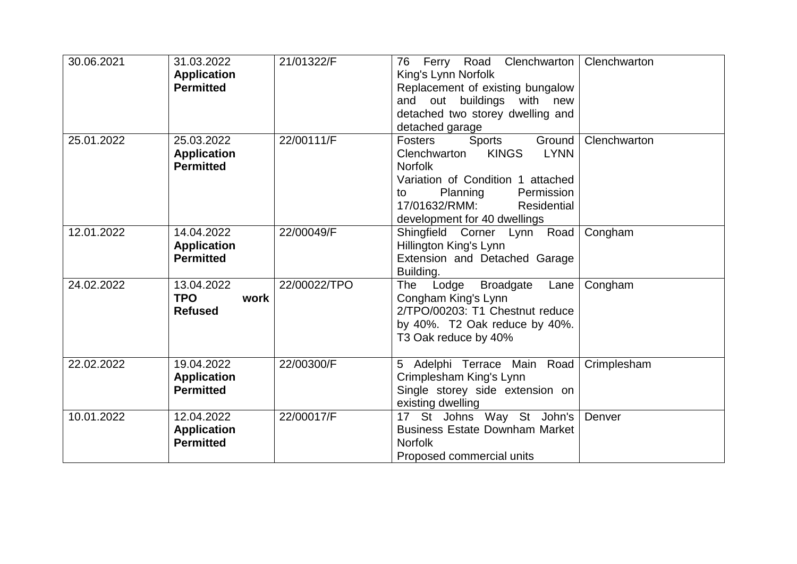| 30.06.2021 | 31.03.2022<br><b>Application</b><br><b>Permitted</b> | 21/01322/F   | 76 Ferry Road Clenchwarton<br>King's Lynn Norfolk<br>Replacement of existing bungalow<br>and out buildings with new<br>detached two storey dwelling and<br>detached garage                                                        | Clenchwarton |
|------------|------------------------------------------------------|--------------|-----------------------------------------------------------------------------------------------------------------------------------------------------------------------------------------------------------------------------------|--------------|
| 25.01.2022 | 25.03.2022<br><b>Application</b><br><b>Permitted</b> | 22/00111/F   | Ground<br>Fosters<br>Sports<br><b>LYNN</b><br>Clenchwarton<br><b>KINGS</b><br><b>Norfolk</b><br>Variation of Condition 1 attached<br>Planning<br>Permission<br>to<br>17/01632/RMM:<br>Residential<br>development for 40 dwellings | Clenchwarton |
| 12.01.2022 | 14.04.2022<br><b>Application</b><br><b>Permitted</b> | 22/00049/F   | Shingfield Corner Lynn Road<br>Hillington King's Lynn<br>Extension and Detached Garage<br>Building.                                                                                                                               | Congham      |
| 24.02.2022 | 13.04.2022<br><b>TPO</b><br>work<br><b>Refused</b>   | 22/00022/TPO | Lodge<br><b>Broadgate</b><br>The<br>Lane<br>Congham King's Lynn<br>2/TPO/00203: T1 Chestnut reduce<br>by 40%. T2 Oak reduce by 40%.<br>T3 Oak reduce by 40%                                                                       | Congham      |
| 22.02.2022 | 19.04.2022<br><b>Application</b><br><b>Permitted</b> | 22/00300/F   | 5 Adelphi Terrace Main Road<br>Crimplesham King's Lynn<br>Single storey side extension on<br>existing dwelling                                                                                                                    | Crimplesham  |
| 10.01.2022 | 12.04.2022<br><b>Application</b><br><b>Permitted</b> | 22/00017/F   | 17 St Johns Way St John's<br><b>Business Estate Downham Market</b><br><b>Norfolk</b><br>Proposed commercial units                                                                                                                 | Denver       |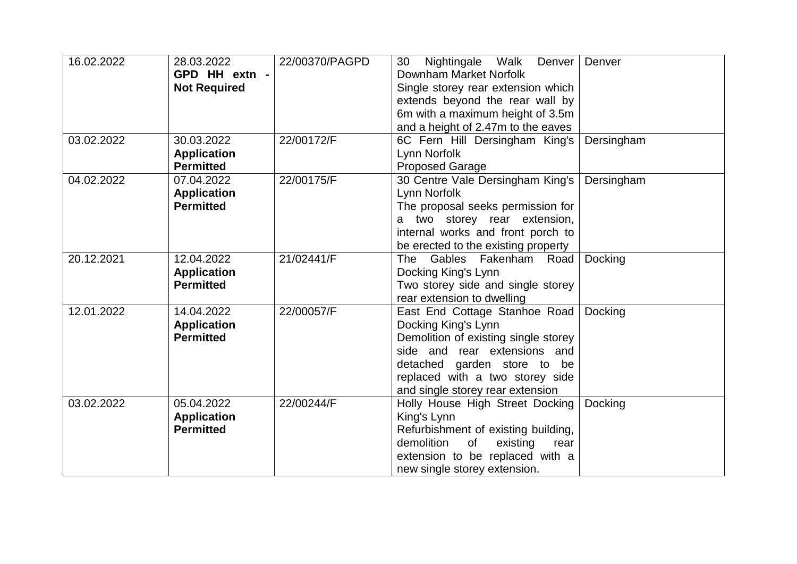| 16.02.2022 | 28.03.2022<br>GPD HH extn -<br><b>Not Required</b>   | 22/00370/PAGPD | Nightingale Walk<br>Denver<br>30<br>Downham Market Norfolk<br>Single storey rear extension which<br>extends beyond the rear wall by<br>6m with a maximum height of 3.5m<br>and a height of 2.47m to the eaves                      | Denver     |
|------------|------------------------------------------------------|----------------|------------------------------------------------------------------------------------------------------------------------------------------------------------------------------------------------------------------------------------|------------|
| 03.02.2022 | 30.03.2022<br><b>Application</b><br><b>Permitted</b> | 22/00172/F     | 6C Fern Hill Dersingham King's<br>Lynn Norfolk<br><b>Proposed Garage</b>                                                                                                                                                           | Dersingham |
| 04.02.2022 | 07.04.2022<br><b>Application</b><br><b>Permitted</b> | 22/00175/F     | 30 Centre Vale Dersingham King's<br>Lynn Norfolk<br>The proposal seeks permission for<br>a two storey rear extension,<br>internal works and front porch to<br>be erected to the existing property                                  | Dersingham |
| 20.12.2021 | 12.04.2022<br><b>Application</b><br><b>Permitted</b> | 21/02441/F     | The Gables Fakenham Road<br>Docking King's Lynn<br>Two storey side and single storey<br>rear extension to dwelling                                                                                                                 | Docking    |
| 12.01.2022 | 14.04.2022<br><b>Application</b><br><b>Permitted</b> | 22/00057/F     | East End Cottage Stanhoe Road<br>Docking King's Lynn<br>Demolition of existing single storey<br>side and rear extensions and<br>detached garden store to be<br>replaced with a two storey side<br>and single storey rear extension | Docking    |
| 03.02.2022 | 05.04.2022<br><b>Application</b><br><b>Permitted</b> | 22/00244/F     | Holly House High Street Docking<br>King's Lynn<br>Refurbishment of existing building,<br>demolition<br>of<br>existing<br>rear<br>extension to be replaced with a<br>new single storey extension.                                   | Docking    |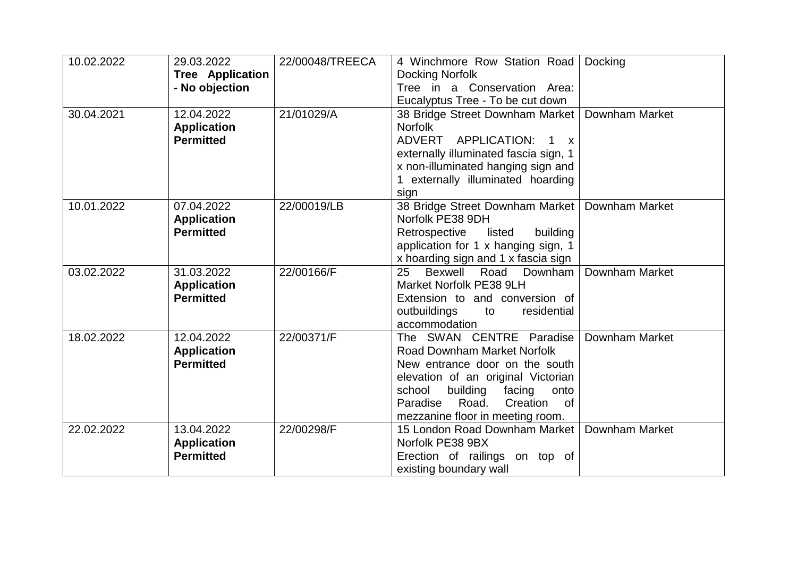| 10.02.2022 | 29.03.2022              | 22/00048/TREECA | 4 Winchmore Row Station Road                       | Docking               |
|------------|-------------------------|-----------------|----------------------------------------------------|-----------------------|
|            | <b>Tree Application</b> |                 | Docking Norfolk                                    |                       |
|            | - No objection          |                 | Tree in a Conservation Area:                       |                       |
|            |                         |                 | Eucalyptus Tree - To be cut down                   |                       |
| 30.04.2021 | 12.04.2022              | 21/01029/A      | 38 Bridge Street Downham Market                    | <b>Downham Market</b> |
|            | <b>Application</b>      |                 | <b>Norfolk</b>                                     |                       |
|            | <b>Permitted</b>        |                 | ADVERT APPLICATION:<br>$1 \times$                  |                       |
|            |                         |                 | externally illuminated fascia sign, 1              |                       |
|            |                         |                 | x non-illuminated hanging sign and                 |                       |
|            |                         |                 | 1 externally illuminated hoarding                  |                       |
|            |                         |                 | sign                                               |                       |
| 10.01.2022 | 07.04.2022              | 22/00019/LB     | 38 Bridge Street Downham Market                    | Downham Market        |
|            | <b>Application</b>      |                 | Norfolk PE38 9DH                                   |                       |
|            | <b>Permitted</b>        |                 | Retrospective<br>listed<br>building                |                       |
|            |                         |                 | application for 1 x hanging sign, 1                |                       |
|            |                         |                 | x hoarding sign and 1 x fascia sign                |                       |
| 03.02.2022 | 31.03.2022              | 22/00166/F      | Bexwell Road Downham<br>25                         | Downham Market        |
|            | <b>Application</b>      |                 | Market Norfolk PE38 9LH                            |                       |
|            | <b>Permitted</b>        |                 | Extension to and conversion of                     |                       |
|            |                         |                 | outbuildings<br>residential<br>to<br>accommodation |                       |
| 18.02.2022 | 12.04.2022              | 22/00371/F      | The SWAN CENTRE Paradise                           | Downham Market        |
|            | <b>Application</b>      |                 | <b>Road Downham Market Norfolk</b>                 |                       |
|            | <b>Permitted</b>        |                 | New entrance door on the south                     |                       |
|            |                         |                 | elevation of an original Victorian                 |                       |
|            |                         |                 | school<br>building<br>facing<br>onto               |                       |
|            |                         |                 | Road.<br>Creation<br>Paradise<br><b>of</b>         |                       |
|            |                         |                 | mezzanine floor in meeting room.                   |                       |
| 22.02.2022 | 13.04.2022              | 22/00298/F      | 15 London Road Downham Market                      | Downham Market        |
|            | <b>Application</b>      |                 | Norfolk PE38 9BX                                   |                       |
|            | <b>Permitted</b>        |                 | Erection of railings on top of                     |                       |
|            |                         |                 | existing boundary wall                             |                       |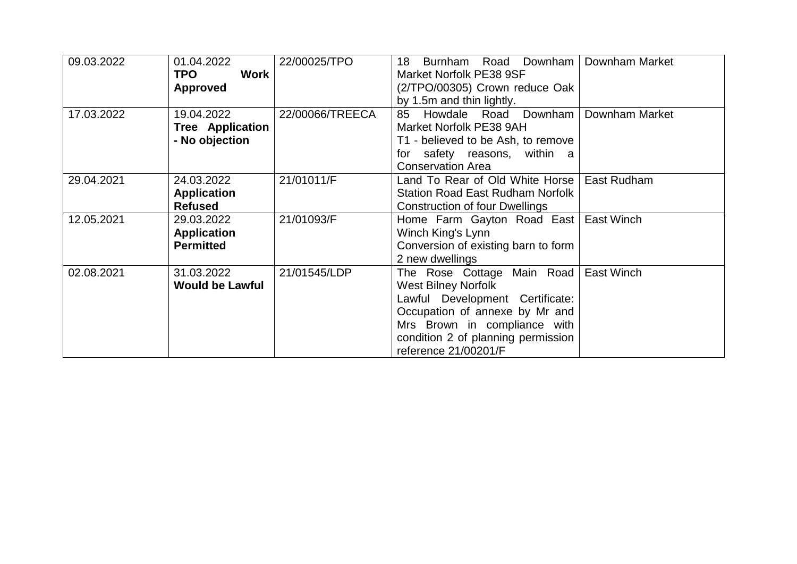| 09.03.2022 | 01.04.2022              | 22/00025/TPO    | Road Downham<br>18<br>Burnham           | Downham Market |
|------------|-------------------------|-----------------|-----------------------------------------|----------------|
|            | Work<br><b>TPO</b>      |                 | Market Norfolk PE38 9SF                 |                |
|            | <b>Approved</b>         |                 | (2/TPO/00305) Crown reduce Oak          |                |
|            |                         |                 | by 1.5m and thin lightly.               |                |
| 17.03.2022 | 19.04.2022              | 22/00066/TREECA | Howdale Road Downham<br>85              | Downham Market |
|            | <b>Tree Application</b> |                 | Market Norfolk PE38 9AH                 |                |
|            | - No objection          |                 | T1 - believed to be Ash, to remove      |                |
|            |                         |                 | safety reasons, within a<br>for         |                |
|            |                         |                 | <b>Conservation Area</b>                |                |
| 29.04.2021 | 24.03.2022              | 21/01011/F      | Land To Rear of Old White Horse         | East Rudham    |
|            | <b>Application</b>      |                 | <b>Station Road East Rudham Norfolk</b> |                |
|            | <b>Refused</b>          |                 | Construction of four Dwellings          |                |
| 12.05.2021 | 29.03.2022              | 21/01093/F      | Home Farm Gayton Road East              | East Winch     |
|            | <b>Application</b>      |                 | Winch King's Lynn                       |                |
|            | <b>Permitted</b>        |                 | Conversion of existing barn to form     |                |
|            |                         |                 | 2 new dwellings                         |                |
| 02.08.2021 | 31.03.2022              | 21/01545/LDP    | The Rose Cottage Main Road              | East Winch     |
|            | <b>Would be Lawful</b>  |                 | <b>West Bilney Norfolk</b>              |                |
|            |                         |                 | Lawful Development Certificate:         |                |
|            |                         |                 | Occupation of annexe by Mr and          |                |
|            |                         |                 | Mrs Brown in compliance with            |                |
|            |                         |                 | condition 2 of planning permission      |                |
|            |                         |                 | reference 21/00201/F                    |                |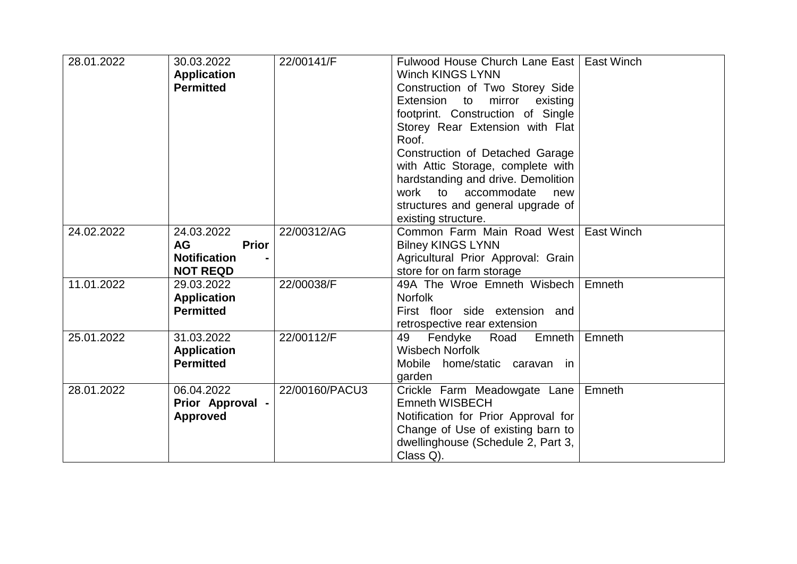| 28.01.2022 | 30.03.2022<br><b>Application</b>        | 22/00141/F     | Fulwood House Church Lane East   East Winch<br><b>Winch KINGS LYNN</b> |        |
|------------|-----------------------------------------|----------------|------------------------------------------------------------------------|--------|
|            | <b>Permitted</b>                        |                | Construction of Two Storey Side                                        |        |
|            |                                         |                | Extension to mirror<br>existing                                        |        |
|            |                                         |                | footprint. Construction of Single                                      |        |
|            |                                         |                | Storey Rear Extension with Flat                                        |        |
|            |                                         |                | Roof.                                                                  |        |
|            |                                         |                | Construction of Detached Garage                                        |        |
|            |                                         |                | with Attic Storage, complete with                                      |        |
|            |                                         |                | hardstanding and drive. Demolition                                     |        |
|            |                                         |                | work to accommodate<br>new                                             |        |
|            |                                         |                | structures and general upgrade of                                      |        |
|            |                                         | 22/00312/AG    | existing structure.                                                    |        |
| 24.02.2022 | 24.03.2022<br><b>AG</b><br><b>Prior</b> |                | Common Farm Main Road West East Winch                                  |        |
|            | <b>Notification</b>                     |                | <b>Bilney KINGS LYNN</b><br>Agricultural Prior Approval: Grain         |        |
|            | <b>NOT REQD</b>                         |                | store for on farm storage                                              |        |
| 11.01.2022 | 29.03.2022                              | 22/00038/F     | 49A The Wroe Emneth Wisbech                                            | Emneth |
|            | <b>Application</b>                      |                | <b>Norfolk</b>                                                         |        |
|            | <b>Permitted</b>                        |                | First floor side extension and                                         |        |
|            |                                         |                | retrospective rear extension                                           |        |
| 25.01.2022 | 31.03.2022                              | 22/00112/F     | Emneth<br>49<br>Fendyke<br>Road                                        | Emneth |
|            | <b>Application</b>                      |                | <b>Wisbech Norfolk</b>                                                 |        |
|            | <b>Permitted</b>                        |                | Mobile home/static caravan in                                          |        |
|            |                                         |                | garden                                                                 |        |
| 28.01.2022 | 06.04.2022                              | 22/00160/PACU3 | Crickle Farm Meadowgate Lane                                           | Emneth |
|            | Prior Approval -                        |                | <b>Emneth WISBECH</b>                                                  |        |
|            | <b>Approved</b>                         |                | Notification for Prior Approval for                                    |        |
|            |                                         |                | Change of Use of existing barn to                                      |        |
|            |                                         |                | dwellinghouse (Schedule 2, Part 3,                                     |        |
|            |                                         |                | Class Q).                                                              |        |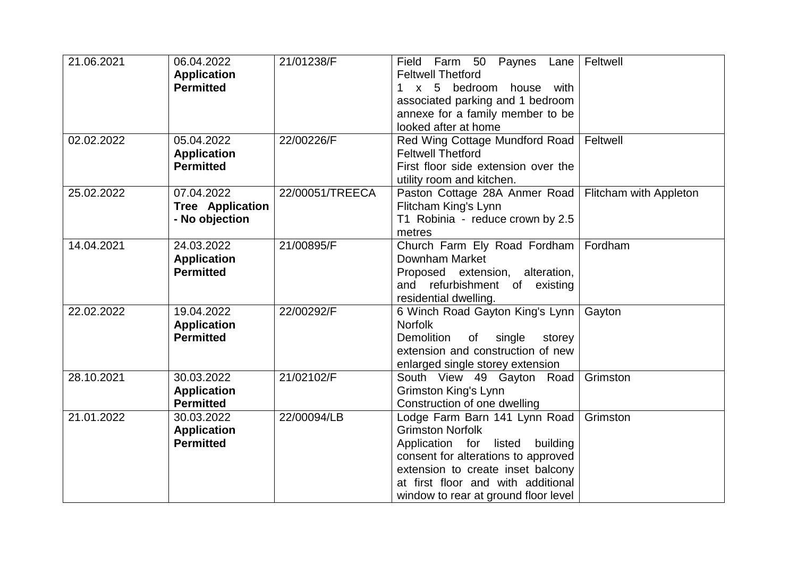| 21.06.2021 | 06.04.2022<br><b>Application</b><br><b>Permitted</b>    | 21/01238/F      | Field Farm 50 Paynes Lane<br><b>Feltwell Thetford</b><br>1 x 5 bedroom house with<br>associated parking and 1 bedroom<br>annexe for a family member to be<br>looked after at home                                                                        | Feltwell               |
|------------|---------------------------------------------------------|-----------------|----------------------------------------------------------------------------------------------------------------------------------------------------------------------------------------------------------------------------------------------------------|------------------------|
| 02.02.2022 | 05.04.2022<br><b>Application</b><br><b>Permitted</b>    | 22/00226/F      | Red Wing Cottage Mundford Road<br><b>Feltwell Thetford</b><br>First floor side extension over the<br>utility room and kitchen.                                                                                                                           | Feltwell               |
| 25.02.2022 | 07.04.2022<br><b>Tree Application</b><br>- No objection | 22/00051/TREECA | Paston Cottage 28A Anmer Road<br>Flitcham King's Lynn<br>T1 Robinia - reduce crown by 2.5<br>metres                                                                                                                                                      | Flitcham with Appleton |
| 14.04.2021 | 24.03.2022<br><b>Application</b><br><b>Permitted</b>    | 21/00895/F      | Church Farm Ely Road Fordham<br>Downham Market<br>Proposed extension, alteration,<br>and refurbishment of existing<br>residential dwelling.                                                                                                              | Fordham                |
| 22.02.2022 | 19.04.2022<br><b>Application</b><br><b>Permitted</b>    | 22/00292/F      | 6 Winch Road Gayton King's Lynn<br><b>Norfolk</b><br>Demolition<br>single<br>of<br>storey<br>extension and construction of new<br>enlarged single storey extension                                                                                       | Gayton                 |
| 28.10.2021 | 30.03.2022<br><b>Application</b><br><b>Permitted</b>    | 21/02102/F      | South View 49 Gayton Road<br><b>Grimston King's Lynn</b><br>Construction of one dwelling                                                                                                                                                                 | Grimston               |
| 21.01.2022 | 30.03.2022<br><b>Application</b><br><b>Permitted</b>    | 22/00094/LB     | Lodge Farm Barn 141 Lynn Road<br><b>Grimston Norfolk</b><br>Application for listed<br>building<br>consent for alterations to approved<br>extension to create inset balcony<br>at first floor and with additional<br>window to rear at ground floor level | Grimston               |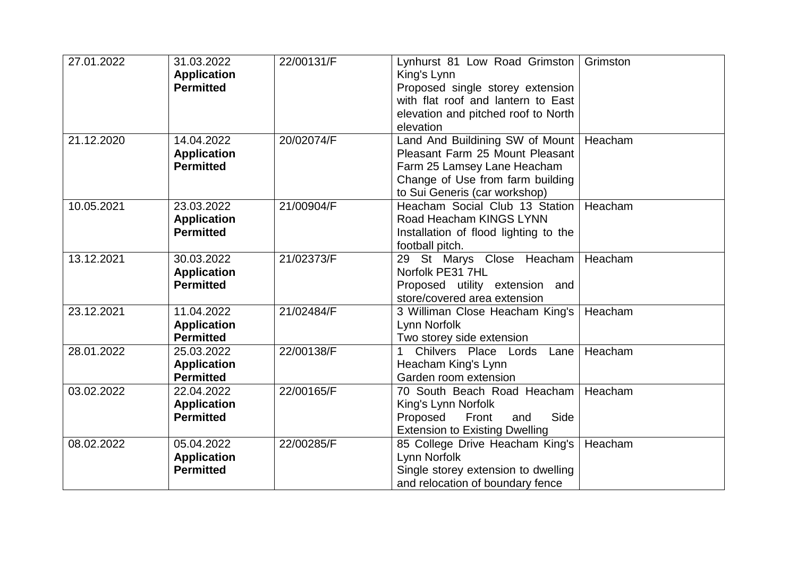| 27.01.2022 | 31.03.2022<br><b>Application</b><br><b>Permitted</b> | 22/00131/F | Lynhurst 81 Low Road Grimston<br>King's Lynn<br>Proposed single storey extension<br>with flat roof and lantern to East<br>elevation and pitched roof to North<br>elevation | Grimston |
|------------|------------------------------------------------------|------------|----------------------------------------------------------------------------------------------------------------------------------------------------------------------------|----------|
| 21.12.2020 | 14.04.2022<br><b>Application</b><br><b>Permitted</b> | 20/02074/F | Land And Buildining SW of Mount<br>Pleasant Farm 25 Mount Pleasant<br>Farm 25 Lamsey Lane Heacham<br>Change of Use from farm building<br>to Sui Generis (car workshop)     | Heacham  |
| 10.05.2021 | 23.03.2022<br><b>Application</b><br><b>Permitted</b> | 21/00904/F | Heacham Social Club 13 Station<br>Road Heacham KINGS LYNN<br>Installation of flood lighting to the<br>football pitch.                                                      | Heacham  |
| 13.12.2021 | 30.03.2022<br><b>Application</b><br><b>Permitted</b> | 21/02373/F | 29 St Marys Close Heacham<br>Norfolk PE31 7HL<br>Proposed utility extension and<br>store/covered area extension                                                            | Heacham  |
| 23.12.2021 | 11.04.2022<br><b>Application</b><br><b>Permitted</b> | 21/02484/F | 3 Williman Close Heacham King's<br>Lynn Norfolk<br>Two storey side extension                                                                                               | Heacham  |
| 28.01.2022 | 25.03.2022<br><b>Application</b><br><b>Permitted</b> | 22/00138/F | Chilvers Place Lords<br>Lane<br>Heacham King's Lynn<br>Garden room extension                                                                                               | Heacham  |
| 03.02.2022 | 22.04.2022<br><b>Application</b><br><b>Permitted</b> | 22/00165/F | 70 South Beach Road Heacham<br>King's Lynn Norfolk<br>Side<br>Proposed<br>Front<br>and<br><b>Extension to Existing Dwelling</b>                                            | Heacham  |
| 08.02.2022 | 05.04.2022<br><b>Application</b><br><b>Permitted</b> | 22/00285/F | 85 College Drive Heacham King's<br>Lynn Norfolk<br>Single storey extension to dwelling<br>and relocation of boundary fence                                                 | Heacham  |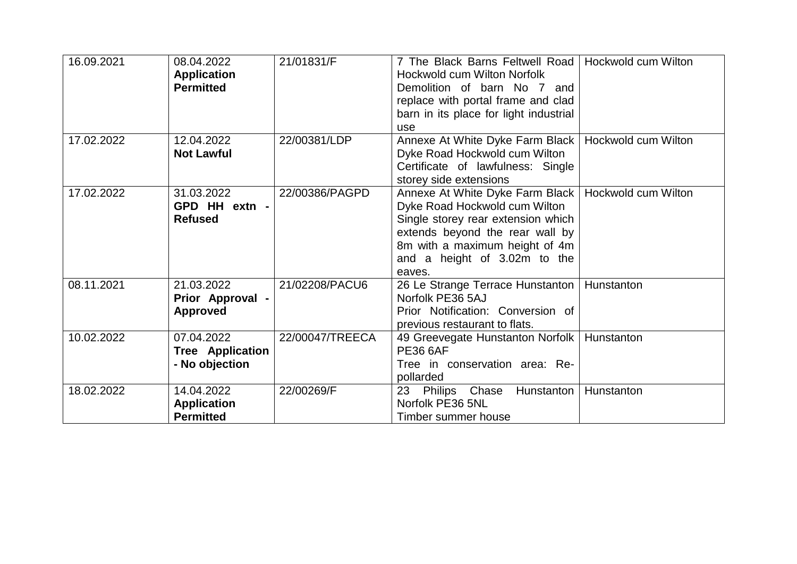| 16.09.2021 | 08.04.2022<br><b>Application</b><br><b>Permitted</b>    | 21/01831/F      | 7 The Black Barns Feltwell Road<br>Hockwold cum Wilton Norfolk<br>Demolition of barn No 7 and<br>replace with portal frame and clad<br>barn in its place for light industrial<br>use                                  | Hockwold cum Wilton |
|------------|---------------------------------------------------------|-----------------|-----------------------------------------------------------------------------------------------------------------------------------------------------------------------------------------------------------------------|---------------------|
| 17.02.2022 | 12.04.2022<br><b>Not Lawful</b>                         | 22/00381/LDP    | Annexe At White Dyke Farm Black  <br>Dyke Road Hockwold cum Wilton<br>Certificate of lawfulness: Single<br>storey side extensions                                                                                     | Hockwold cum Wilton |
| 17.02.2022 | 31.03.2022<br>GPD HH extn -<br><b>Refused</b>           | 22/00386/PAGPD  | Annexe At White Dyke Farm Black<br>Dyke Road Hockwold cum Wilton<br>Single storey rear extension which<br>extends beyond the rear wall by<br>8m with a maximum height of 4m<br>and a height of 3.02m to the<br>eaves. | Hockwold cum Wilton |
| 08.11.2021 | 21.03.2022<br>Prior Approval -<br><b>Approved</b>       | 21/02208/PACU6  | 26 Le Strange Terrace Hunstanton<br>Norfolk PE36 5AJ<br>Prior Notification: Conversion of<br>previous restaurant to flats.                                                                                            | Hunstanton          |
| 10.02.2022 | 07.04.2022<br><b>Tree Application</b><br>- No objection | 22/00047/TREECA | 49 Greevegate Hunstanton Norfolk<br><b>PE36 6AF</b><br>Tree in conservation area: Re-<br>pollarded                                                                                                                    | Hunstanton          |
| 18.02.2022 | 14.04.2022<br><b>Application</b><br><b>Permitted</b>    | 22/00269/F      | 23<br>Philips Chase<br>Hunstanton<br>Norfolk PE36 5NL<br>Timber summer house                                                                                                                                          | Hunstanton          |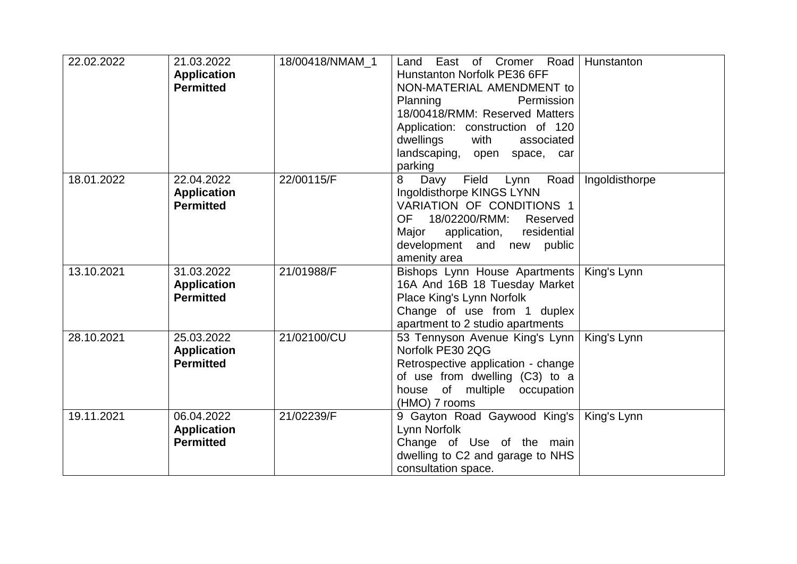| 22.02.2022 | 21.03.2022<br><b>Application</b><br><b>Permitted</b> | 18/00418/NMAM 1 | East of Cromer Road<br>Land<br>Hunstanton Norfolk PE36 6FF<br>NON-MATERIAL AMENDMENT to<br>Planning<br>Permission<br>18/00418/RMM: Reserved Matters<br>Application: construction of 120<br>dwellings<br>with<br>associated<br>landscaping, open space, car<br>parking | Hunstanton     |
|------------|------------------------------------------------------|-----------------|-----------------------------------------------------------------------------------------------------------------------------------------------------------------------------------------------------------------------------------------------------------------------|----------------|
| 18.01.2022 | 22.04.2022<br><b>Application</b><br><b>Permitted</b> | 22/00115/F      | Field<br>Road<br>8<br>Davy<br>Lynn<br>Ingoldisthorpe KINGS LYNN<br>VARIATION OF CONDITIONS 1<br>OF 18/02200/RMM:<br>Reserved<br>residential<br>Major<br>application,<br>development and new public<br>amenity area                                                    | Ingoldisthorpe |
| 13.10.2021 | 31.03.2022<br><b>Application</b><br><b>Permitted</b> | 21/01988/F      | Bishops Lynn House Apartments<br>16A And 16B 18 Tuesday Market<br>Place King's Lynn Norfolk<br>Change of use from 1 duplex<br>apartment to 2 studio apartments                                                                                                        | King's Lynn    |
| 28.10.2021 | 25.03.2022<br><b>Application</b><br><b>Permitted</b> | 21/02100/CU     | 53 Tennyson Avenue King's Lynn<br>Norfolk PE30 2QG<br>Retrospective application - change<br>of use from dwelling (C3) to a<br>house of multiple occupation<br>(HMO) 7 rooms                                                                                           | King's Lynn    |
| 19.11.2021 | 06.04.2022<br><b>Application</b><br><b>Permitted</b> | 21/02239/F      | 9 Gayton Road Gaywood King's<br>Lynn Norfolk<br>Change of Use of the main<br>dwelling to C2 and garage to NHS<br>consultation space.                                                                                                                                  | King's Lynn    |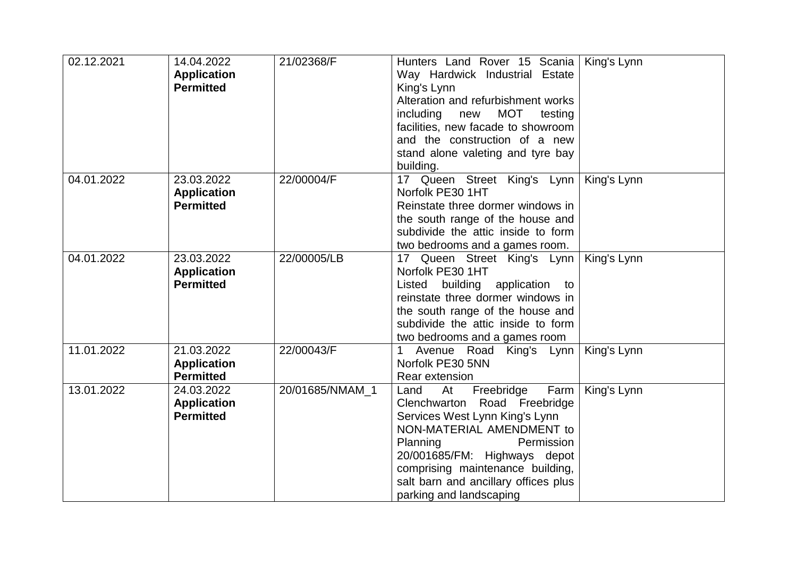| 02.12.2021 | 14.04.2022<br><b>Application</b><br><b>Permitted</b> | 21/02368/F      | Hunters Land Rover 15 Scania<br>Way Hardwick Industrial Estate<br>King's Lynn<br>Alteration and refurbishment works<br>MOT<br>including<br>new<br>testing<br>facilities, new facade to showroom<br>and the construction of a new<br>stand alone valeting and tyre bay<br>building.               | King's Lynn |
|------------|------------------------------------------------------|-----------------|--------------------------------------------------------------------------------------------------------------------------------------------------------------------------------------------------------------------------------------------------------------------------------------------------|-------------|
| 04.01.2022 | 23.03.2022<br><b>Application</b><br><b>Permitted</b> | 22/00004/F      | 17 Queen Street King's Lynn<br>Norfolk PE30 1HT<br>Reinstate three dormer windows in<br>the south range of the house and<br>subdivide the attic inside to form<br>two bedrooms and a games room.                                                                                                 | King's Lynn |
| 04.01.2022 | 23.03.2022<br><b>Application</b><br><b>Permitted</b> | 22/00005/LB     | 17 Queen Street King's Lynn<br>Norfolk PE30 1HT<br>building application<br>Listed<br>to<br>reinstate three dormer windows in<br>the south range of the house and<br>subdivide the attic inside to form<br>two bedrooms and a games room                                                          | King's Lynn |
| 11.01.2022 | 21.03.2022<br><b>Application</b><br><b>Permitted</b> | 22/00043/F      | Avenue Road King's Lynn<br>1<br>Norfolk PE30 5NN<br>Rear extension                                                                                                                                                                                                                               | King's Lynn |
| 13.01.2022 | 24.03.2022<br><b>Application</b><br><b>Permitted</b> | 20/01685/NMAM_1 | Farm<br>At<br>Freebridge<br>Land<br>Clenchwarton Road Freebridge<br>Services West Lynn King's Lynn<br>NON-MATERIAL AMENDMENT to<br>Planning<br>Permission<br>20/001685/FM: Highways depot<br>comprising maintenance building,<br>salt barn and ancillary offices plus<br>parking and landscaping | King's Lynn |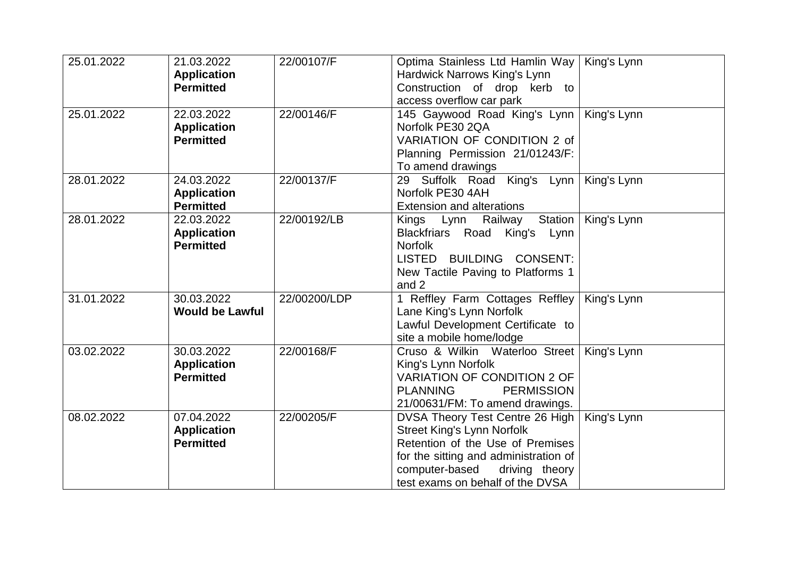| 25.01.2022 | 21.03.2022<br><b>Application</b><br><b>Permitted</b> | 22/00107/F   | Optima Stainless Ltd Hamlin Way<br>Hardwick Narrows King's Lynn<br>Construction of drop kerb to<br>access overflow car park                                                                                               | King's Lynn |
|------------|------------------------------------------------------|--------------|---------------------------------------------------------------------------------------------------------------------------------------------------------------------------------------------------------------------------|-------------|
| 25.01.2022 | 22.03.2022<br><b>Application</b><br><b>Permitted</b> | 22/00146/F   | 145 Gaywood Road King's Lynn<br>Norfolk PE30 2QA<br>VARIATION OF CONDITION 2 of<br>Planning Permission 21/01243/F:<br>To amend drawings                                                                                   | King's Lynn |
| 28.01.2022 | 24.03.2022<br><b>Application</b><br><b>Permitted</b> | 22/00137/F   | 29 Suffolk Road King's Lynn<br>Norfolk PE30 4AH<br><b>Extension and alterations</b>                                                                                                                                       | King's Lynn |
| 28.01.2022 | 22.03.2022<br><b>Application</b><br><b>Permitted</b> | 22/00192/LB  | Kings Lynn Railway<br>Station<br>Blackfriars Road King's Lynn<br><b>Norfolk</b><br>LISTED BUILDING CONSENT:<br>New Tactile Paving to Platforms 1<br>and 2                                                                 | King's Lynn |
| 31.01.2022 | 30.03.2022<br><b>Would be Lawful</b>                 | 22/00200/LDP | 1 Reffley Farm Cottages Reffley<br>Lane King's Lynn Norfolk<br>Lawful Development Certificate to<br>site a mobile home/lodge                                                                                              | King's Lynn |
| 03.02.2022 | 30.03.2022<br><b>Application</b><br><b>Permitted</b> | 22/00168/F   | Cruso & Wilkin Waterloo Street<br>King's Lynn Norfolk<br><b>VARIATION OF CONDITION 2 OF</b><br><b>PERMISSION</b><br><b>PLANNING</b><br>21/00631/FM: To amend drawings.                                                    | King's Lynn |
| 08.02.2022 | 07.04.2022<br><b>Application</b><br><b>Permitted</b> | 22/00205/F   | DVSA Theory Test Centre 26 High<br><b>Street King's Lynn Norfolk</b><br>Retention of the Use of Premises<br>for the sitting and administration of<br>computer-based<br>driving theory<br>test exams on behalf of the DVSA | King's Lynn |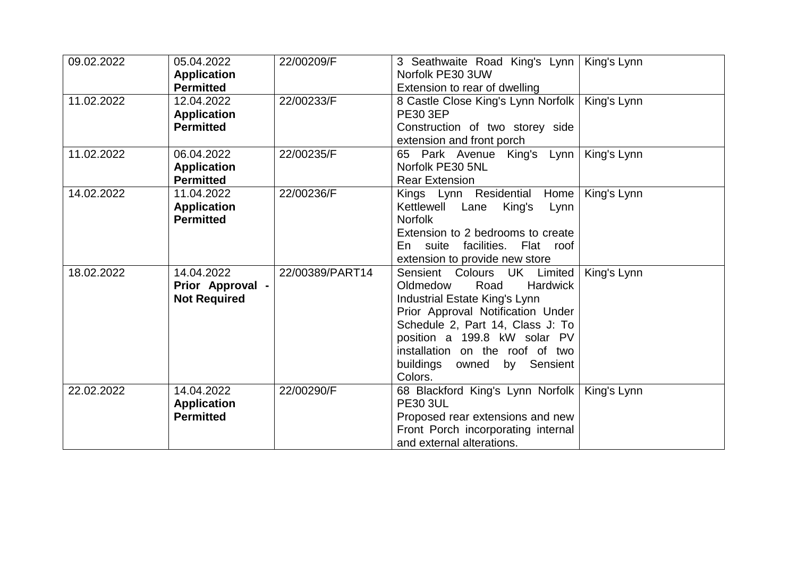| 09.02.2022 | 05.04.2022<br><b>Application</b><br><b>Permitted</b>  | 22/00209/F      | 3 Seathwaite Road King's Lynn<br>Norfolk PE30 3UW<br>Extension to rear of dwelling                                                                                                                                                                                                           | King's Lynn |
|------------|-------------------------------------------------------|-----------------|----------------------------------------------------------------------------------------------------------------------------------------------------------------------------------------------------------------------------------------------------------------------------------------------|-------------|
| 11.02.2022 | 12.04.2022<br><b>Application</b><br><b>Permitted</b>  | 22/00233/F      | 8 Castle Close King's Lynn Norfolk<br><b>PE30 3EP</b><br>Construction of two storey side<br>extension and front porch                                                                                                                                                                        | King's Lynn |
| 11.02.2022 | 06.04.2022<br><b>Application</b><br><b>Permitted</b>  | 22/00235/F      | 65 Park Avenue King's Lynn<br>Norfolk PE30 5NL<br><b>Rear Extension</b>                                                                                                                                                                                                                      | King's Lynn |
| 14.02.2022 | 11.04.2022<br><b>Application</b><br><b>Permitted</b>  | 22/00236/F      | Home<br>Kings Lynn Residential<br>Kettlewell Lane<br>King's<br>Lynn<br><b>Norfolk</b><br>Extension to 2 bedrooms to create<br>facilities.<br>En<br>suite<br>Flat roof<br>extension to provide new store                                                                                      | King's Lynn |
| 18.02.2022 | 14.04.2022<br>Prior Approval -<br><b>Not Required</b> | 22/00389/PART14 | Sensient Colours UK Limited<br>Oldmedow<br>Road<br><b>Hardwick</b><br>Industrial Estate King's Lynn<br>Prior Approval Notification Under<br>Schedule 2, Part 14, Class J: To<br>position a 199.8 kW solar PV<br>installation on the roof of two<br>buildings owned<br>by Sensient<br>Colors. | King's Lynn |
| 22.02.2022 | 14.04.2022<br><b>Application</b><br><b>Permitted</b>  | 22/00290/F      | 68 Blackford King's Lynn Norfolk<br><b>PE30 3UL</b><br>Proposed rear extensions and new<br>Front Porch incorporating internal<br>and external alterations.                                                                                                                                   | King's Lynn |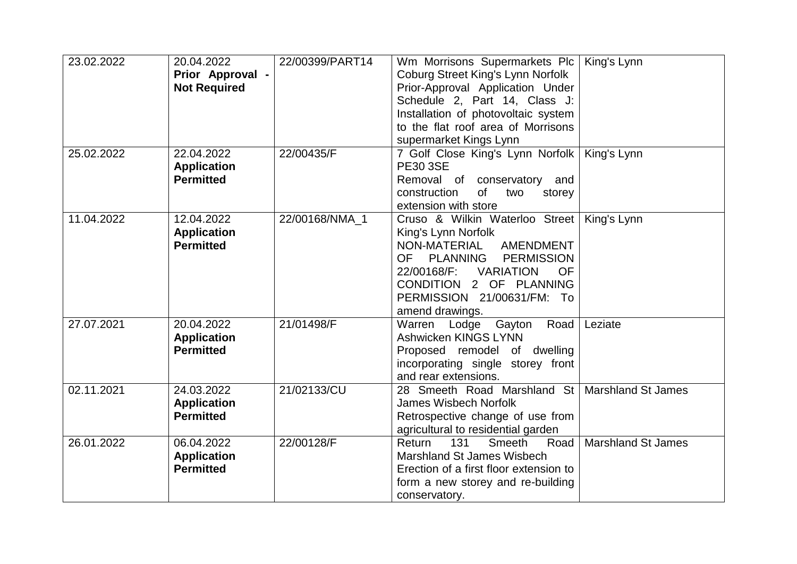| 23.02.2022 | 20.04.2022          | 22/00399/PART14 | Wm Morrisons Supermarkets Plc              | King's Lynn               |
|------------|---------------------|-----------------|--------------------------------------------|---------------------------|
|            | Prior Approval -    |                 | Coburg Street King's Lynn Norfolk          |                           |
|            | <b>Not Required</b> |                 | Prior-Approval Application Under           |                           |
|            |                     |                 | Schedule 2, Part 14, Class J:              |                           |
|            |                     |                 | Installation of photovoltaic system        |                           |
|            |                     |                 | to the flat roof area of Morrisons         |                           |
|            |                     |                 | supermarket Kings Lynn                     |                           |
| 25.02.2022 | 22.04.2022          | 22/00435/F      | 7 Golf Close King's Lynn Norfolk           | King's Lynn               |
|            | <b>Application</b>  |                 | <b>PE30 3SE</b>                            |                           |
|            | <b>Permitted</b>    |                 | Removal of conservatory and                |                           |
|            |                     |                 | construction<br>of<br>two<br>storey        |                           |
|            |                     |                 | extension with store                       |                           |
| 11.04.2022 | 12.04.2022          | 22/00168/NMA_1  | Cruso & Wilkin Waterloo Street             | King's Lynn               |
|            | <b>Application</b>  |                 | King's Lynn Norfolk                        |                           |
|            | <b>Permitted</b>    |                 | NON-MATERIAL<br><b>AMENDMENT</b>           |                           |
|            |                     |                 | <b>OF</b><br>PLANNING<br><b>PERMISSION</b> |                           |
|            |                     |                 | 22/00168/F:<br><b>VARIATION</b><br>OF      |                           |
|            |                     |                 | CONDITION 2 OF PLANNING                    |                           |
|            |                     |                 | PERMISSION 21/00631/FM: To                 |                           |
|            |                     |                 | amend drawings.                            |                           |
| 27.07.2021 | 20.04.2022          | 21/01498/F      | Warren<br>Lodge Gayton<br>Road             | Leziate                   |
|            | <b>Application</b>  |                 | Ashwicken KINGS LYNN                       |                           |
|            | <b>Permitted</b>    |                 | Proposed remodel of dwelling               |                           |
|            |                     |                 | incorporating single storey front          |                           |
|            |                     |                 | and rear extensions.                       |                           |
| 02.11.2021 | 24.03.2022          | 21/02133/CU     | 28 Smeeth Road Marshland St                | <b>Marshland St James</b> |
|            | <b>Application</b>  |                 | <b>James Wisbech Norfolk</b>               |                           |
|            | <b>Permitted</b>    |                 | Retrospective change of use from           |                           |
|            |                     |                 | agricultural to residential garden         |                           |
| 26.01.2022 | 06.04.2022          | 22/00128/F      | 131<br>Smeeth<br>Return<br>Road            | <b>Marshland St James</b> |
|            | <b>Application</b>  |                 | Marshland St James Wisbech                 |                           |
|            | <b>Permitted</b>    |                 | Erection of a first floor extension to     |                           |
|            |                     |                 | form a new storey and re-building          |                           |
|            |                     |                 | conservatory.                              |                           |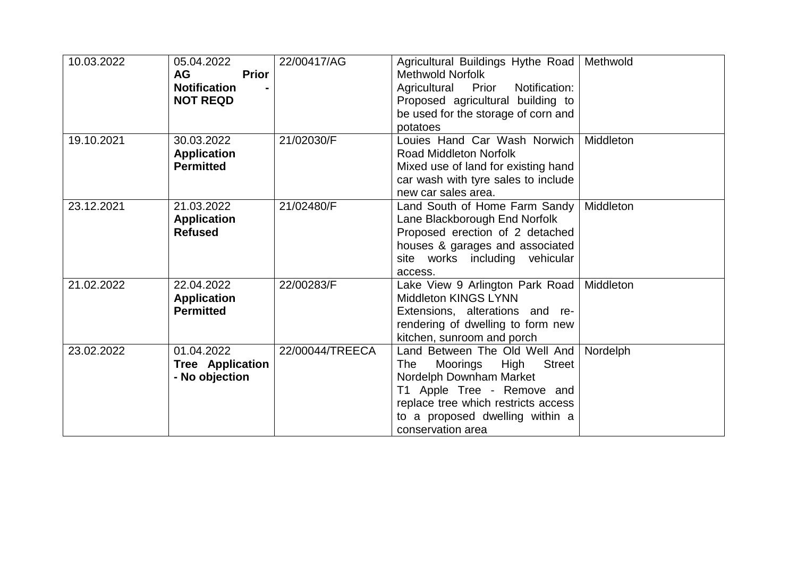| 10.03.2022 | 05.04.2022<br><b>AG</b><br><b>Prior</b><br><b>Notification</b><br><b>NOT REQD</b> | 22/00417/AG     | Agricultural Buildings Hythe Road   Methwold<br><b>Methwold Norfolk</b><br>Agricultural Prior Notification:<br>Proposed agricultural building to<br>be used for the storage of corn and<br>potatoes                               |           |
|------------|-----------------------------------------------------------------------------------|-----------------|-----------------------------------------------------------------------------------------------------------------------------------------------------------------------------------------------------------------------------------|-----------|
| 19.10.2021 | 30.03.2022<br><b>Application</b><br><b>Permitted</b>                              | 21/02030/F      | Louies Hand Car Wash Norwich<br><b>Road Middleton Norfolk</b><br>Mixed use of land for existing hand<br>car wash with tyre sales to include<br>new car sales area.                                                                | Middleton |
| 23.12.2021 | 21.03.2022<br><b>Application</b><br><b>Refused</b>                                | 21/02480/F      | Land South of Home Farm Sandy<br>Lane Blackborough End Norfolk<br>Proposed erection of 2 detached<br>houses & garages and associated<br>site works including vehicular<br>access.                                                 | Middleton |
| 21.02.2022 | 22.04.2022<br><b>Application</b><br><b>Permitted</b>                              | 22/00283/F      | Lake View 9 Arlington Park Road<br><b>Middleton KINGS LYNN</b><br>Extensions, alterations and re-<br>rendering of dwelling to form new<br>kitchen, sunroom and porch                                                              | Middleton |
| 23.02.2022 | 01.04.2022<br><b>Tree Application</b><br>- No objection                           | 22/00044/TREECA | Land Between The Old Well And<br>High<br><b>Street</b><br>The<br>Moorings<br>Nordelph Downham Market<br>T1 Apple Tree - Remove and<br>replace tree which restricts access<br>to a proposed dwelling within a<br>conservation area | Nordelph  |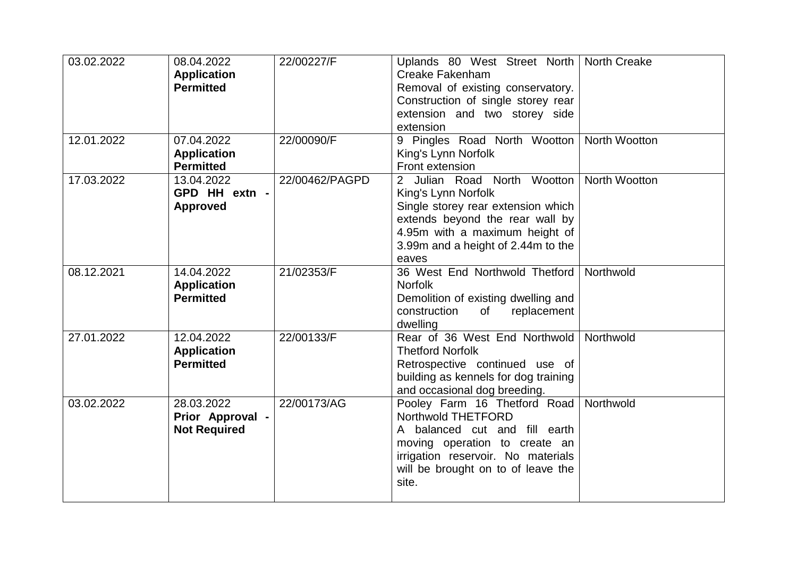| 03.02.2022 | 08.04.2022<br><b>Application</b><br><b>Permitted</b>  | 22/00227/F     | Uplands 80 West Street North   North Creake<br>Creake Fakenham<br>Removal of existing conservatory.<br>Construction of single storey rear<br>extension and two storey side<br>extension                      |                      |
|------------|-------------------------------------------------------|----------------|--------------------------------------------------------------------------------------------------------------------------------------------------------------------------------------------------------------|----------------------|
| 12.01.2022 | 07.04.2022<br><b>Application</b><br><b>Permitted</b>  | 22/00090/F     | 9 Pingles Road North Wootton<br>King's Lynn Norfolk<br>Front extension                                                                                                                                       | <b>North Wootton</b> |
| 17.03.2022 | 13.04.2022<br>GPD HH extn -<br><b>Approved</b>        | 22/00462/PAGPD | 2 Julian Road North Wootton<br>King's Lynn Norfolk<br>Single storey rear extension which<br>extends beyond the rear wall by<br>4.95m with a maximum height of<br>3.99m and a height of 2.44m to the<br>eaves | <b>North Wootton</b> |
| 08.12.2021 | 14.04.2022<br><b>Application</b><br><b>Permitted</b>  | 21/02353/F     | 36 West End Northwold Thetford<br><b>Norfolk</b><br>Demolition of existing dwelling and<br>replacement<br>construction<br>of<br>dwelling                                                                     | Northwold            |
| 27.01.2022 | 12.04.2022<br><b>Application</b><br><b>Permitted</b>  | 22/00133/F     | Rear of 36 West End Northwold<br><b>Thetford Norfolk</b><br>Retrospective continued use of<br>building as kennels for dog training<br>and occasional dog breeding.                                           | Northwold            |
| 03.02.2022 | 28.03.2022<br>Prior Approval -<br><b>Not Required</b> | 22/00173/AG    | Pooley Farm 16 Thetford Road<br>Northwold THETFORD<br>A balanced cut and fill earth<br>moving operation to create an<br>irrigation reservoir. No materials<br>will be brought on to of leave the<br>site.    | Northwold            |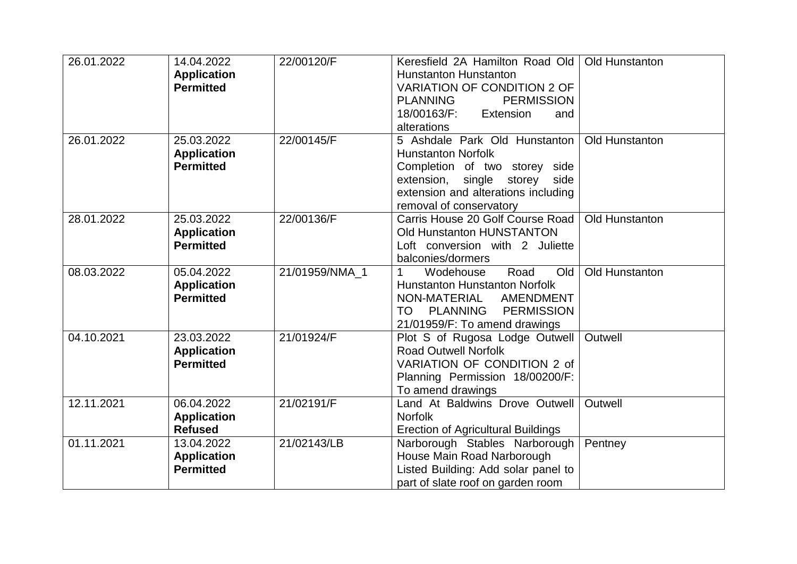| 26.01.2022 | 14.04.2022<br><b>Application</b><br><b>Permitted</b> | 22/00120/F     | Keresfield 2A Hamilton Road Old<br><b>Hunstanton Hunstanton</b><br><b>VARIATION OF CONDITION 2 OF</b><br><b>PLANNING</b><br><b>PERMISSION</b><br>18/00163/F:<br>Extension<br>and<br>alterations | Old Hunstanton |
|------------|------------------------------------------------------|----------------|-------------------------------------------------------------------------------------------------------------------------------------------------------------------------------------------------|----------------|
| 26.01.2022 | 25.03.2022<br><b>Application</b><br><b>Permitted</b> | 22/00145/F     | 5 Ashdale Park Old Hunstanton<br><b>Hunstanton Norfolk</b><br>Completion of two storey side<br>extension, single storey side<br>extension and alterations including<br>removal of conservatory  | Old Hunstanton |
| 28.01.2022 | 25.03.2022<br><b>Application</b><br><b>Permitted</b> | 22/00136/F     | Carris House 20 Golf Course Road<br>Old Hunstanton HUNSTANTON<br>Loft conversion with 2 Juliette<br>balconies/dormers                                                                           | Old Hunstanton |
| 08.03.2022 | 05.04.2022<br><b>Application</b><br><b>Permitted</b> | 21/01959/NMA_1 | Wodehouse<br>Road<br>Old<br><b>Hunstanton Hunstanton Norfolk</b><br>NON-MATERIAL AMENDMENT<br><b>PERMISSION</b><br><b>PLANNING</b><br>TO<br>21/01959/F: To amend drawings                       | Old Hunstanton |
| 04.10.2021 | 23.03.2022<br><b>Application</b><br><b>Permitted</b> | 21/01924/F     | Plot S of Rugosa Lodge Outwell<br><b>Road Outwell Norfolk</b><br>VARIATION OF CONDITION 2 of<br>Planning Permission 18/00200/F:<br>To amend drawings                                            | Outwell        |
| 12.11.2021 | 06.04.2022<br><b>Application</b><br><b>Refused</b>   | 21/02191/F     | Land At Baldwins Drove Outwell<br><b>Norfolk</b><br><b>Erection of Agricultural Buildings</b>                                                                                                   | Outwell        |
| 01.11.2021 | 13.04.2022<br><b>Application</b><br><b>Permitted</b> | 21/02143/LB    | Narborough Stables Narborough<br>House Main Road Narborough<br>Listed Building: Add solar panel to<br>part of slate roof on garden room                                                         | Pentney        |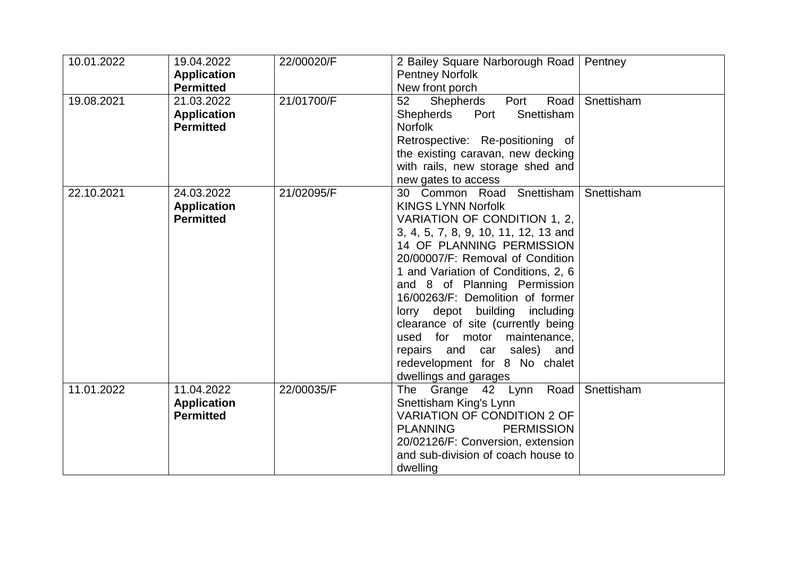| 10.01.2022 | 19.04.2022<br><b>Application</b><br><b>Permitted</b> | 22/00020/F | 2 Bailey Square Narborough Road<br><b>Pentney Norfolk</b><br>New front porch                                                                                                                                                                                                                                                                                                                                                                                                                              | Pentney    |
|------------|------------------------------------------------------|------------|-----------------------------------------------------------------------------------------------------------------------------------------------------------------------------------------------------------------------------------------------------------------------------------------------------------------------------------------------------------------------------------------------------------------------------------------------------------------------------------------------------------|------------|
| 19.08.2021 | 21.03.2022<br><b>Application</b><br><b>Permitted</b> | 21/01700/F | 52<br>Shepherds<br>Road<br>Port<br>Snettisham<br>Shepherds<br>Port<br><b>Norfolk</b><br>Retrospective: Re-positioning of<br>the existing caravan, new decking<br>with rails, new storage shed and<br>new gates to access                                                                                                                                                                                                                                                                                  | Snettisham |
| 22.10.2021 | 24.03.2022<br><b>Application</b><br><b>Permitted</b> | 21/02095/F | 30 Common Road Snettisham<br><b>KINGS LYNN Norfolk</b><br>VARIATION OF CONDITION 1, 2,<br>3, 4, 5, 7, 8, 9, 10, 11, 12, 13 and<br>14 OF PLANNING PERMISSION<br>20/00007/F: Removal of Condition<br>1 and Variation of Conditions, 2, 6<br>and 8 of Planning Permission<br>16/00263/F: Demolition of former<br>lorry depot building including<br>clearance of site (currently being<br>used for motor maintenance,<br>repairs and car sales) and<br>redevelopment for 8 No chalet<br>dwellings and garages | Snettisham |
| 11.01.2022 | 11.04.2022<br><b>Application</b><br><b>Permitted</b> | 22/00035/F | The Grange 42 Lynn Road<br>Snettisham King's Lynn<br><b>VARIATION OF CONDITION 2 OF</b><br><b>PERMISSION</b><br><b>PLANNING</b><br>20/02126/F: Conversion, extension<br>and sub-division of coach house to<br>dwelling                                                                                                                                                                                                                                                                                    | Snettisham |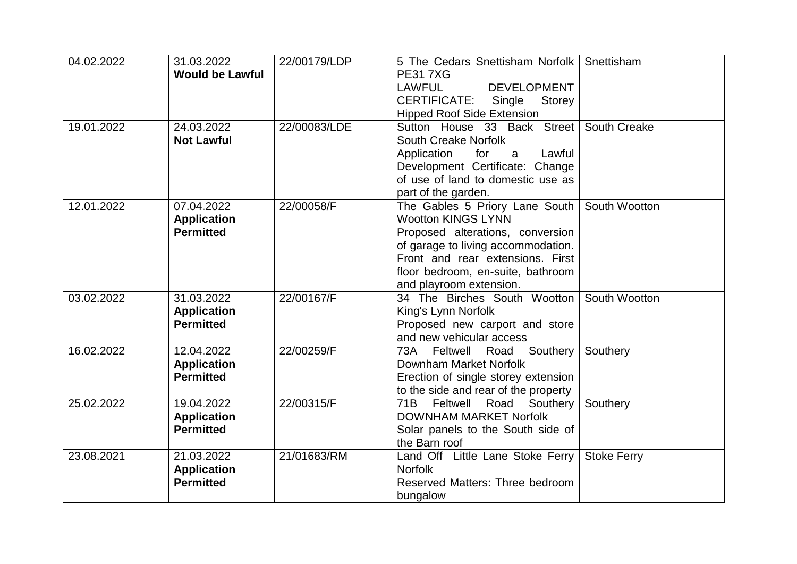| 04.02.2022 | 31.03.2022<br><b>Would be Lawful</b>                 | 22/00179/LDP | 5 The Cedars Snettisham Norfolk<br><b>PE317XG</b><br><b>LAWFUL</b><br><b>DEVELOPMENT</b><br><b>CERTIFICATE:</b><br>Single<br>Storey                                                                                                         | Snettisham         |
|------------|------------------------------------------------------|--------------|---------------------------------------------------------------------------------------------------------------------------------------------------------------------------------------------------------------------------------------------|--------------------|
| 19.01.2022 | 24.03.2022<br><b>Not Lawful</b>                      | 22/00083/LDE | <b>Hipped Roof Side Extension</b><br>Sutton House 33 Back Street<br><b>South Creake Norfolk</b><br>Application<br>for<br>Lawful<br>a<br>Development Certificate: Change<br>of use of land to domestic use as<br>part of the garden.         | South Creake       |
| 12.01.2022 | 07.04.2022<br><b>Application</b><br><b>Permitted</b> | 22/00058/F   | The Gables 5 Priory Lane South  <br><b>Wootton KINGS LYNN</b><br>Proposed alterations, conversion<br>of garage to living accommodation.<br>Front and rear extensions. First<br>floor bedroom, en-suite, bathroom<br>and playroom extension. | South Wootton      |
| 03.02.2022 | 31.03.2022<br><b>Application</b><br><b>Permitted</b> | 22/00167/F   | 34 The Birches South Wootton<br>King's Lynn Norfolk<br>Proposed new carport and store<br>and new vehicular access                                                                                                                           | South Wootton      |
| 16.02.2022 | 12.04.2022<br><b>Application</b><br><b>Permitted</b> | 22/00259/F   | 73A Feltwell Road<br>Southery<br>Downham Market Norfolk<br>Erection of single storey extension<br>to the side and rear of the property                                                                                                      | Southery           |
| 25.02.2022 | 19.04.2022<br><b>Application</b><br><b>Permitted</b> | 22/00315/F   | Feltwell<br>Southery<br>71B<br>Road<br><b>DOWNHAM MARKET Norfolk</b><br>Solar panels to the South side of<br>the Barn roof                                                                                                                  | Southery           |
| 23.08.2021 | 21.03.2022<br><b>Application</b><br><b>Permitted</b> | 21/01683/RM  | Land Off Little Lane Stoke Ferry<br><b>Norfolk</b><br>Reserved Matters: Three bedroom<br>bungalow                                                                                                                                           | <b>Stoke Ferry</b> |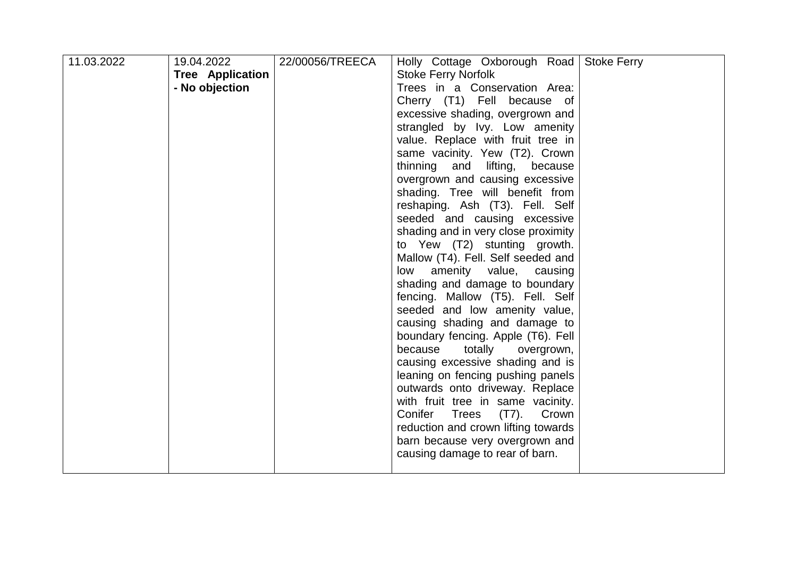| 11.03.2022 | 19.04.2022       | 22/00056/TREECA | Holly Cottage Oxborough Road                 | <b>Stoke Ferry</b> |
|------------|------------------|-----------------|----------------------------------------------|--------------------|
|            | Tree Application |                 | <b>Stoke Ferry Norfolk</b>                   |                    |
|            | - No objection   |                 | Trees in a Conservation Area:                |                    |
|            |                  |                 | Cherry (T1) Fell because of                  |                    |
|            |                  |                 | excessive shading, overgrown and             |                    |
|            |                  |                 | strangled by Ivy. Low amenity                |                    |
|            |                  |                 | value. Replace with fruit tree in            |                    |
|            |                  |                 | same vacinity. Yew (T2). Crown               |                    |
|            |                  |                 | thinning<br>lifting,<br>and<br>because       |                    |
|            |                  |                 | overgrown and causing excessive              |                    |
|            |                  |                 | shading. Tree will benefit from              |                    |
|            |                  |                 | reshaping. Ash (T3). Fell. Self              |                    |
|            |                  |                 | seeded and causing excessive                 |                    |
|            |                  |                 | shading and in very close proximity          |                    |
|            |                  |                 | to Yew (T2) stunting growth.                 |                    |
|            |                  |                 | Mallow (T4). Fell. Self seeded and           |                    |
|            |                  |                 | low amenity value, causing                   |                    |
|            |                  |                 | shading and damage to boundary               |                    |
|            |                  |                 | fencing. Mallow (T5). Fell. Self             |                    |
|            |                  |                 | seeded and low amenity value,                |                    |
|            |                  |                 | causing shading and damage to                |                    |
|            |                  |                 | boundary fencing. Apple (T6). Fell           |                    |
|            |                  |                 | because<br>totally overgrown,                |                    |
|            |                  |                 | causing excessive shading and is             |                    |
|            |                  |                 | leaning on fencing pushing panels            |                    |
|            |                  |                 | outwards onto driveway. Replace              |                    |
|            |                  |                 | with fruit tree in same vacinity.            |                    |
|            |                  |                 | <b>Trees</b><br>Conifer<br>$(T7)$ .<br>Crown |                    |
|            |                  |                 | reduction and crown lifting towards          |                    |
|            |                  |                 | barn because very overgrown and              |                    |
|            |                  |                 | causing damage to rear of barn.              |                    |
|            |                  |                 |                                              |                    |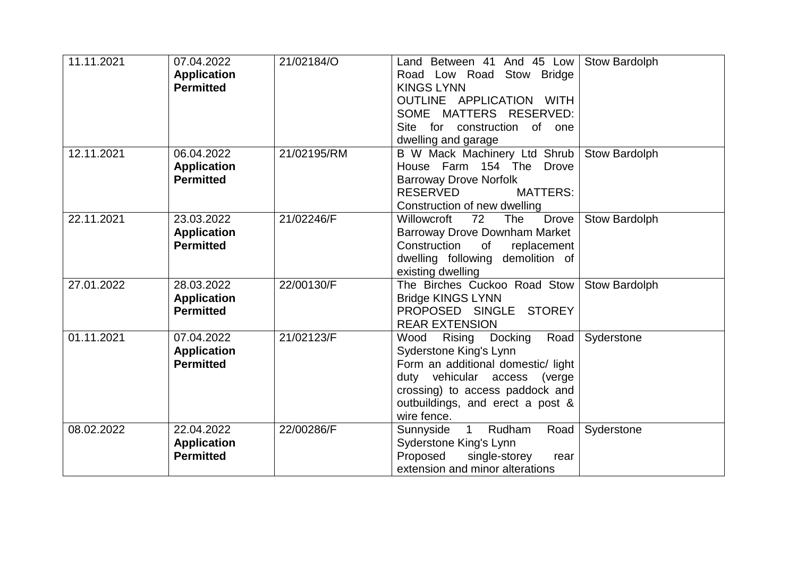| 11.11.2021 | 07.04.2022<br><b>Application</b><br><b>Permitted</b> | 21/02184/O  | Land Between 41 And 45 Low<br>Road Low Road Stow Bridge<br><b>KINGS LYNN</b><br>OUTLINE APPLICATION WITH<br>SOME MATTERS RESERVED:<br>Site for construction<br>of one<br>dwelling and garage                            | Stow Bardolph        |
|------------|------------------------------------------------------|-------------|-------------------------------------------------------------------------------------------------------------------------------------------------------------------------------------------------------------------------|----------------------|
| 12.11.2021 | 06.04.2022<br><b>Application</b><br><b>Permitted</b> | 21/02195/RM | B W Mack Machinery Ltd Shrub<br>House Farm 154 The<br><b>Drove</b><br><b>Barroway Drove Norfolk</b><br><b>RESERVED</b><br><b>MATTERS:</b><br>Construction of new dwelling                                               | Stow Bardolph        |
| 22.11.2021 | 23.03.2022<br><b>Application</b><br><b>Permitted</b> | 21/02246/F  | Willowcroft<br>72<br><b>Drove</b><br><b>The</b><br><b>Barroway Drove Downham Market</b><br>Construction<br>0f<br>replacement<br>dwelling following demolition of<br>existing dwelling                                   | <b>Stow Bardolph</b> |
| 27.01.2022 | 28.03.2022<br><b>Application</b><br><b>Permitted</b> | 22/00130/F  | The Birches Cuckoo Road Stow<br><b>Bridge KINGS LYNN</b><br>PROPOSED SINGLE STOREY<br><b>REAR EXTENSION</b>                                                                                                             | Stow Bardolph        |
| 01.11.2021 | 07.04.2022<br><b>Application</b><br><b>Permitted</b> | 21/02123/F  | Road<br>Rising<br>Docking<br>Wood<br>Syderstone King's Lynn<br>Form an additional domestic/ light<br>duty vehicular access (verge<br>crossing) to access paddock and<br>outbuildings, and erect a post &<br>wire fence. | Syderstone           |
| 08.02.2022 | 22.04.2022<br><b>Application</b><br><b>Permitted</b> | 22/00286/F  | Sunnyside 1<br>Rudham<br>Road<br>Syderstone King's Lynn<br>Proposed<br>single-storey<br>rear<br>extension and minor alterations                                                                                         | Syderstone           |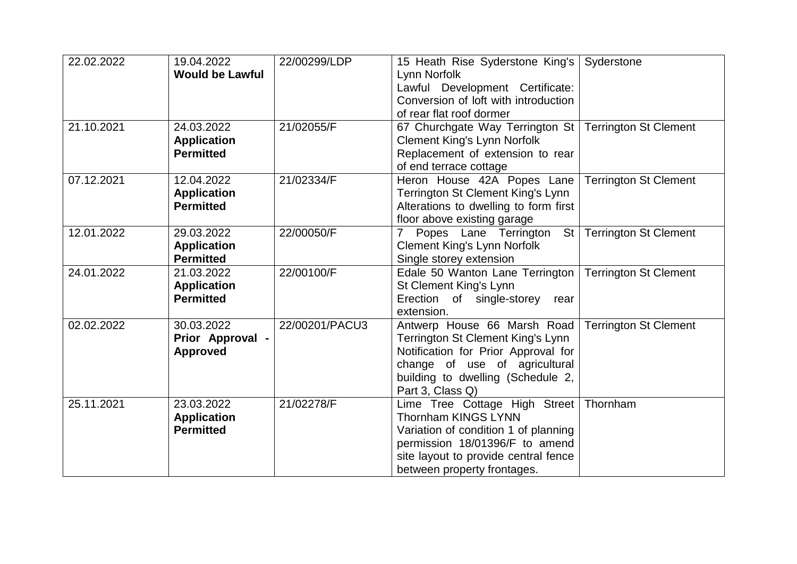| 22.02.2022 | 19.04.2022             | 22/00299/LDP   | 15 Heath Rise Syderstone King's                             | Syderstone                   |
|------------|------------------------|----------------|-------------------------------------------------------------|------------------------------|
|            | <b>Would be Lawful</b> |                | Lynn Norfolk                                                |                              |
|            |                        |                | Lawful Development Certificate:                             |                              |
|            |                        |                | Conversion of loft with introduction                        |                              |
|            |                        |                | of rear flat roof dormer                                    |                              |
| 21.10.2021 | 24.03.2022             | 21/02055/F     | 67 Churchgate Way Terrington St                             | <b>Terrington St Clement</b> |
|            | <b>Application</b>     |                | <b>Clement King's Lynn Norfolk</b>                          |                              |
|            | <b>Permitted</b>       |                | Replacement of extension to rear                            |                              |
|            |                        |                | of end terrace cottage                                      |                              |
| 07.12.2021 | 12.04.2022             | 21/02334/F     | Heron House 42A Popes Lane                                  | <b>Terrington St Clement</b> |
|            | <b>Application</b>     |                | Terrington St Clement King's Lynn                           |                              |
|            | <b>Permitted</b>       |                | Alterations to dwelling to form first                       |                              |
|            |                        |                | floor above existing garage                                 |                              |
| 12.01.2022 | 29.03.2022             | 22/00050/F     | 7 Popes Lane Terrington                                     | St   Terrington St Clement   |
|            | <b>Application</b>     |                | <b>Clement King's Lynn Norfolk</b>                          |                              |
|            | <b>Permitted</b>       |                | Single storey extension                                     |                              |
| 24.01.2022 | 21.03.2022             | 22/00100/F     | Edale 50 Wanton Lane Terrington                             | <b>Terrington St Clement</b> |
|            | <b>Application</b>     |                | St Clement King's Lynn                                      |                              |
|            | <b>Permitted</b>       |                | Erection of single-storey<br>rear                           |                              |
|            |                        |                | extension.                                                  |                              |
| 02.02.2022 | 30.03.2022             | 22/00201/PACU3 | Antwerp House 66 Marsh Road                                 | <b>Terrington St Clement</b> |
|            | Prior Approval -       |                | Terrington St Clement King's Lynn                           |                              |
|            | <b>Approved</b>        |                | Notification for Prior Approval for                         |                              |
|            |                        |                | change of use of agricultural                               |                              |
|            |                        |                | building to dwelling (Schedule 2,<br>Part 3, Class Q)       |                              |
| 25.11.2021 | 23.03.2022             | 21/02278/F     |                                                             | Thornham                     |
|            | <b>Application</b>     |                | Lime Tree Cottage High Street<br><b>Thornham KINGS LYNN</b> |                              |
|            | <b>Permitted</b>       |                | Variation of condition 1 of planning                        |                              |
|            |                        |                | permission 18/01396/F to amend                              |                              |
|            |                        |                | site layout to provide central fence                        |                              |
|            |                        |                | between property frontages.                                 |                              |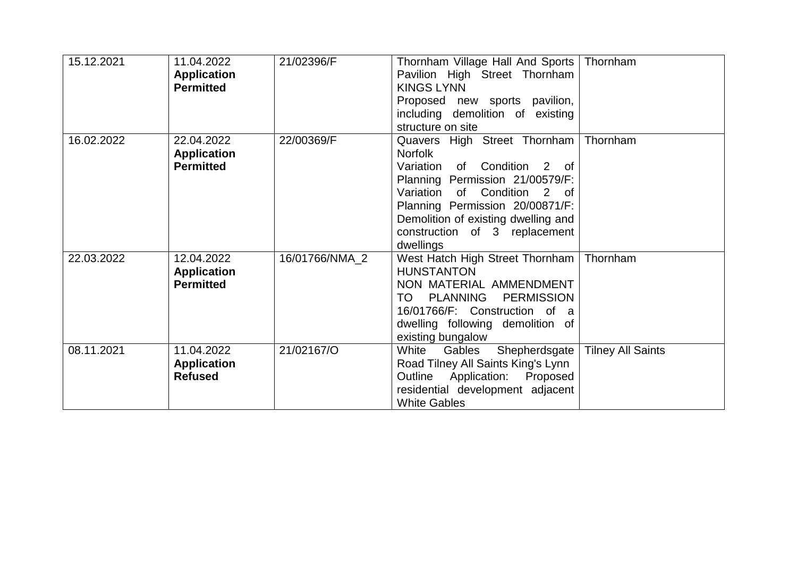| 15.12.2021 | 11.04.2022<br><b>Application</b><br><b>Permitted</b> | 21/02396/F     | Thornham Village Hall And Sports<br>Pavilion High Street Thornham<br><b>KINGS LYNN</b><br>Proposed new sports pavilion,<br>including demolition of existing<br>structure on site                                                                                                 | Thornham                 |
|------------|------------------------------------------------------|----------------|----------------------------------------------------------------------------------------------------------------------------------------------------------------------------------------------------------------------------------------------------------------------------------|--------------------------|
| 16.02.2022 | 22.04.2022<br><b>Application</b><br><b>Permitted</b> | 22/00369/F     | Quavers High Street Thornham<br><b>Norfolk</b><br>Variation of<br>Condition<br>2 of<br>Planning Permission 21/00579/F:<br>Variation of Condition<br>2 of<br>Planning Permission 20/00871/F:<br>Demolition of existing dwelling and<br>construction of 3 replacement<br>dwellings | Thornham                 |
| 22.03.2022 | 12.04.2022<br><b>Application</b><br><b>Permitted</b> | 16/01766/NMA_2 | West Hatch High Street Thornham<br><b>HUNSTANTON</b><br>NON MATERIAL AMMENDMENT<br>TO<br>PLANNING<br><b>PERMISSION</b><br>16/01766/F: Construction of a<br>dwelling following demolition of<br>existing bungalow                                                                 | Thornham                 |
| 08.11.2021 | 11.04.2022<br><b>Application</b><br><b>Refused</b>   | 21/02167/O     | White<br>Gables<br>Shepherdsgate<br>Road Tilney All Saints King's Lynn<br>Outline<br>Application: Proposed<br>residential development adjacent<br><b>White Gables</b>                                                                                                            | <b>Tilney All Saints</b> |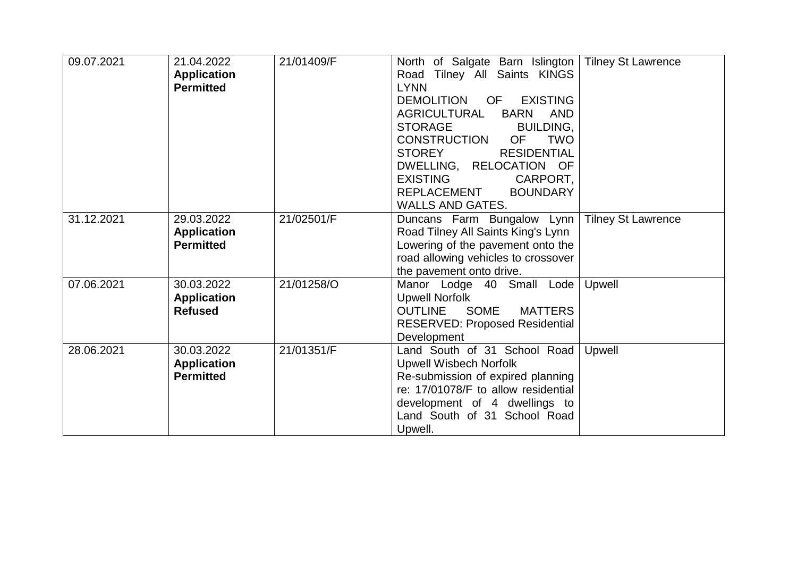| 09.07.2021 | 21.04.2022<br><b>Application</b><br><b>Permitted</b> | 21/01409/F | North of Salgate Barn Islington<br>Road Tilney All Saints KINGS<br><b>LYNN</b>                                                                                                                                                                                                                                                      | <b>Tilney St Lawrence</b> |
|------------|------------------------------------------------------|------------|-------------------------------------------------------------------------------------------------------------------------------------------------------------------------------------------------------------------------------------------------------------------------------------------------------------------------------------|---------------------------|
|            |                                                      |            | <b>EXISTING</b><br>DEMOLITION OF<br><b>AGRICULTURAL</b><br><b>BARN</b><br>AND<br><b>STORAGE</b><br><b>BUILDING,</b><br><b>CONSTRUCTION</b><br><b>TWO</b><br><b>OF</b><br><b>STOREY</b><br><b>RESIDENTIAL</b><br>DWELLING, RELOCATION OF<br><b>EXISTING</b><br>CARPORT,<br>REPLACEMENT<br><b>BOUNDARY</b><br><b>WALLS AND GATES.</b> |                           |
| 31.12.2021 | 29.03.2022<br><b>Application</b><br><b>Permitted</b> | 21/02501/F | Duncans Farm Bungalow Lynn<br>Road Tilney All Saints King's Lynn<br>Lowering of the pavement onto the<br>road allowing vehicles to crossover<br>the pavement onto drive.                                                                                                                                                            | <b>Tilney St Lawrence</b> |
| 07.06.2021 | 30.03.2022<br><b>Application</b><br><b>Refused</b>   | 21/01258/O | Manor Lodge 40 Small Lode<br><b>Upwell Norfolk</b><br>SOME<br><b>MATTERS</b><br><b>OUTLINE</b><br><b>RESERVED: Proposed Residential</b><br>Development                                                                                                                                                                              | Upwell                    |
| 28.06.2021 | 30.03.2022<br><b>Application</b><br><b>Permitted</b> | 21/01351/F | Land South of 31 School Road<br><b>Upwell Wisbech Norfolk</b><br>Re-submission of expired planning<br>re: 17/01078/F to allow residential<br>development of 4 dwellings to<br>Land South of 31 School Road<br>Upwell.                                                                                                               | Upwell                    |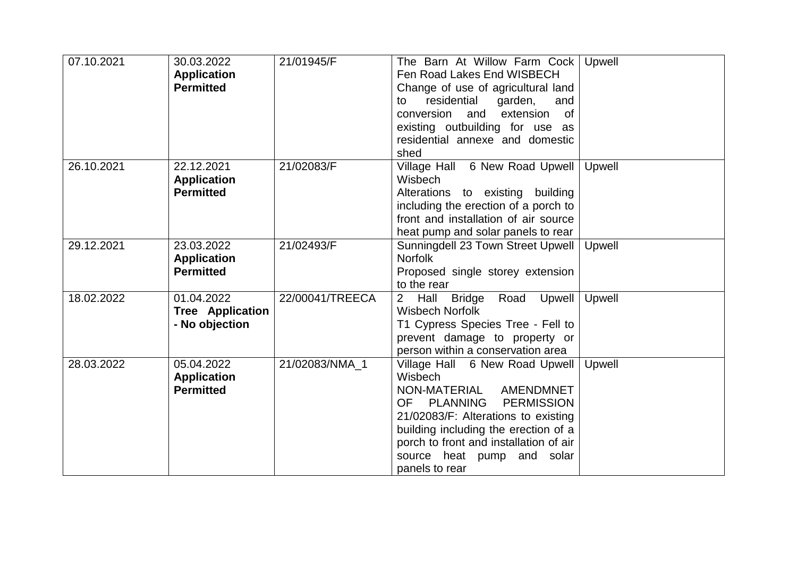| 07.10.2021 | 30.03.2022              | 21/01945/F      | The Barn At Willow Farm Cock   Upwell             |        |
|------------|-------------------------|-----------------|---------------------------------------------------|--------|
|            | <b>Application</b>      |                 | Fen Road Lakes End WISBECH                        |        |
|            | <b>Permitted</b>        |                 | Change of use of agricultural land                |        |
|            |                         |                 | residential<br>garden,<br>and<br>to               |        |
|            |                         |                 | conversion and<br>extension<br>of                 |        |
|            |                         |                 | existing outbuilding for use as                   |        |
|            |                         |                 | residential annexe and domestic                   |        |
|            |                         |                 | shed                                              |        |
| 26.10.2021 | 22.12.2021              | 21/02083/F      | Village Hall 6 New Road Upwell                    | Upwell |
|            | <b>Application</b>      |                 | Wisbech                                           |        |
|            | <b>Permitted</b>        |                 | Alterations to existing building                  |        |
|            |                         |                 | including the erection of a porch to              |        |
|            |                         |                 | front and installation of air source              |        |
|            |                         |                 | heat pump and solar panels to rear                |        |
| 29.12.2021 | 23.03.2022              | 21/02493/F      | Sunningdell 23 Town Street Upwell                 | Upwell |
|            | <b>Application</b>      |                 | <b>Norfolk</b>                                    |        |
|            | <b>Permitted</b>        |                 | Proposed single storey extension                  |        |
|            |                         |                 | to the rear                                       |        |
| 18.02.2022 | 01.04.2022              | 22/00041/TREECA | 2 <sup>1</sup><br>Hall Bridge Road<br>Upwell      | Upwell |
|            | <b>Tree Application</b> |                 | <b>Wisbech Norfolk</b>                            |        |
|            | - No objection          |                 | T1 Cypress Species Tree - Fell to                 |        |
|            |                         |                 | prevent damage to property or                     |        |
|            |                         |                 | person within a conservation area                 |        |
| 28.03.2022 | 05.04.2022              | 21/02083/NMA 1  | Village Hall 6 New Road Upwell                    | Upwell |
|            | <b>Application</b>      |                 | <b>Wisbech</b>                                    |        |
|            | <b>Permitted</b>        |                 | NON-MATERIAL<br>AMENDMNET                         |        |
|            |                         |                 | <b>PERMISSION</b><br><b>OF</b><br><b>PLANNING</b> |        |
|            |                         |                 | 21/02083/F: Alterations to existing               |        |
|            |                         |                 | building including the erection of a              |        |
|            |                         |                 | porch to front and installation of air            |        |
|            |                         |                 | source heat pump and solar                        |        |
|            |                         |                 | panels to rear                                    |        |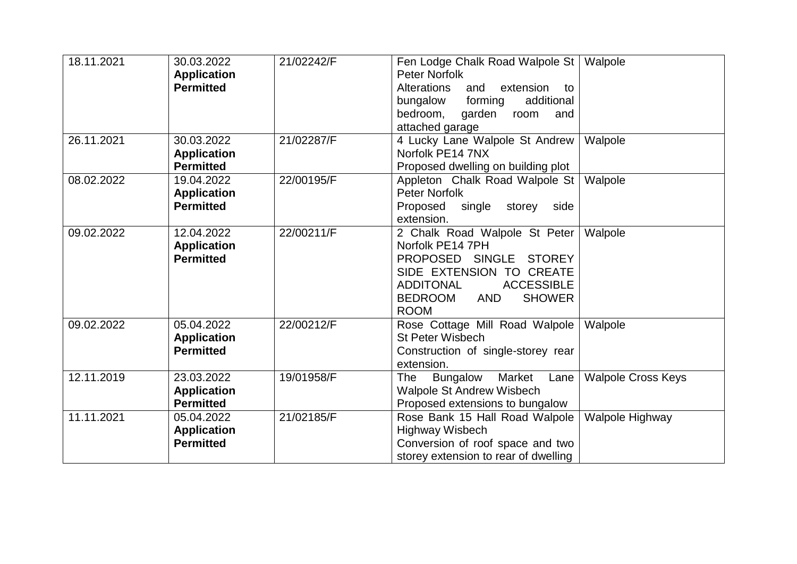| 18.11.2021 | 30.03.2022<br><b>Application</b><br><b>Permitted</b> | 21/02242/F | Fen Lodge Chalk Road Walpole St<br><b>Peter Norfolk</b><br><b>Alterations</b><br>extension<br>and<br>to<br>additional<br>bungalow<br>forming<br>bedroom,<br>garden<br>room<br>and<br>attached garage                | Walpole                   |
|------------|------------------------------------------------------|------------|---------------------------------------------------------------------------------------------------------------------------------------------------------------------------------------------------------------------|---------------------------|
| 26.11.2021 | 30.03.2022<br><b>Application</b><br><b>Permitted</b> | 21/02287/F | 4 Lucky Lane Walpole St Andrew<br>Norfolk PE14 7NX<br>Proposed dwelling on building plot                                                                                                                            | Walpole                   |
| 08.02.2022 | 19.04.2022<br><b>Application</b><br><b>Permitted</b> | 22/00195/F | Appleton Chalk Road Walpole St<br><b>Peter Norfolk</b><br>Proposed single storey<br>side<br>extension.                                                                                                              | Walpole                   |
| 09.02.2022 | 12.04.2022<br><b>Application</b><br><b>Permitted</b> | 22/00211/F | 2 Chalk Road Walpole St Peter<br>Norfolk PE14 7PH<br>PROPOSED SINGLE<br><b>STOREY</b><br>SIDE EXTENSION TO CREATE<br><b>ACCESSIBLE</b><br><b>ADDITONAL</b><br>AND<br><b>BEDROOM</b><br><b>SHOWER</b><br><b>ROOM</b> | Walpole                   |
| 09.02.2022 | 05.04.2022<br><b>Application</b><br><b>Permitted</b> | 22/00212/F | Rose Cottage Mill Road Walpole<br><b>St Peter Wisbech</b><br>Construction of single-storey rear<br>extension.                                                                                                       | Walpole                   |
| 12.11.2019 | 23.03.2022<br><b>Application</b><br><b>Permitted</b> | 19/01958/F | <b>Bungalow</b><br>Market<br><b>The</b><br>Lane<br><b>Walpole St Andrew Wisbech</b><br>Proposed extensions to bungalow                                                                                              | <b>Walpole Cross Keys</b> |
| 11.11.2021 | 05.04.2022<br><b>Application</b><br><b>Permitted</b> | 21/02185/F | Rose Bank 15 Hall Road Walpole<br>Highway Wisbech<br>Conversion of roof space and two<br>storey extension to rear of dwelling                                                                                       | Walpole Highway           |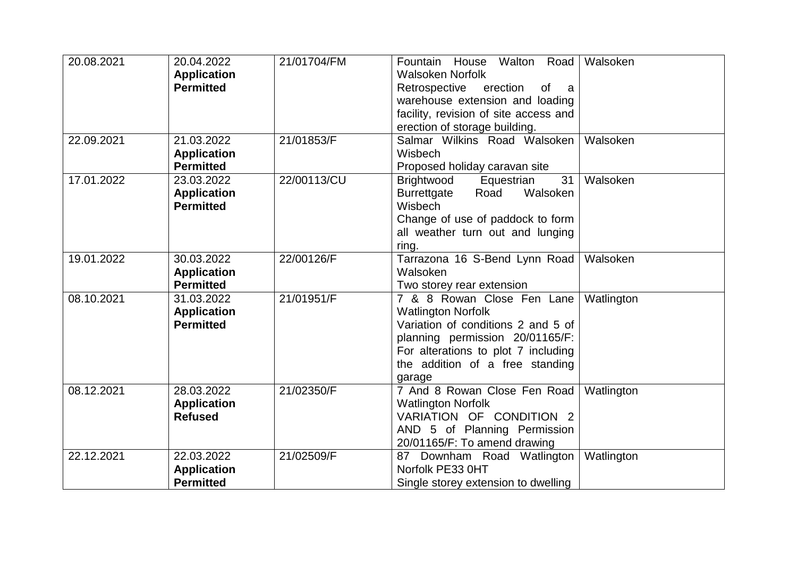| 20.08.2021 | 20.04.2022<br><b>Application</b><br><b>Permitted</b> | 21/01704/FM | Fountain House Walton Road<br><b>Walsoken Norfolk</b><br>Retrospective erection<br>of a<br>warehouse extension and loading<br>facility, revision of site access and<br>erection of storage building.                 | Walsoken   |
|------------|------------------------------------------------------|-------------|----------------------------------------------------------------------------------------------------------------------------------------------------------------------------------------------------------------------|------------|
| 22.09.2021 | 21.03.2022<br><b>Application</b><br><b>Permitted</b> | 21/01853/F  | Salmar Wilkins Road Walsoken<br>Wisbech<br>Proposed holiday caravan site                                                                                                                                             | Walsoken   |
| 17.01.2022 | 23.03.2022<br><b>Application</b><br><b>Permitted</b> | 22/00113/CU | 31<br>Brightwood<br>Equestrian<br>Road<br>Walsoken<br><b>Burrettgate</b><br>Wisbech<br>Change of use of paddock to form<br>all weather turn out and lunging<br>ring.                                                 | Walsoken   |
| 19.01.2022 | 30.03.2022<br><b>Application</b><br><b>Permitted</b> | 22/00126/F  | Tarrazona 16 S-Bend Lynn Road<br>Walsoken<br>Two storey rear extension                                                                                                                                               | Walsoken   |
| 08.10.2021 | 31.03.2022<br><b>Application</b><br><b>Permitted</b> | 21/01951/F  | 7 & 8 Rowan Close Fen Lane<br><b>Watlington Norfolk</b><br>Variation of conditions 2 and 5 of<br>planning permission 20/01165/F:<br>For alterations to plot 7 including<br>the addition of a free standing<br>garage | Watlington |
| 08.12.2021 | 28.03.2022<br><b>Application</b><br><b>Refused</b>   | 21/02350/F  | 7 And 8 Rowan Close Fen Road<br><b>Watlington Norfolk</b><br>VARIATION OF CONDITION 2<br>AND 5 of Planning Permission<br>20/01165/F: To amend drawing                                                                | Watlington |
| 22.12.2021 | 22.03.2022<br><b>Application</b><br><b>Permitted</b> | 21/02509/F  | 87 Downham Road Watlington<br>Norfolk PE33 0HT<br>Single storey extension to dwelling                                                                                                                                | Watlington |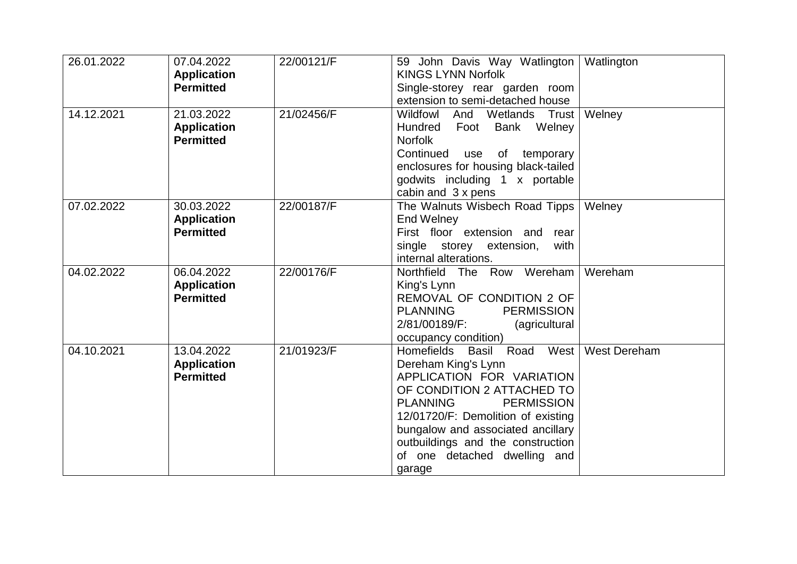| 26.01.2022 | 07.04.2022<br><b>Application</b><br><b>Permitted</b> | 22/00121/F | 59 John Davis Way Watlington<br><b>KINGS LYNN Norfolk</b><br>Single-storey rear garden room                                                                                                                                                                                                             | Watlington          |
|------------|------------------------------------------------------|------------|---------------------------------------------------------------------------------------------------------------------------------------------------------------------------------------------------------------------------------------------------------------------------------------------------------|---------------------|
| 14.12.2021 | 21.03.2022<br><b>Application</b><br><b>Permitted</b> | 21/02456/F | extension to semi-detached house<br>Wildfowl<br>And Wetlands Trust<br>Bank Welney<br>Hundred<br>Foot<br><b>Norfolk</b><br>Continued use of temporary<br>enclosures for housing black-tailed<br>godwits including 1 x portable                                                                           | Welney              |
| 07.02.2022 | 30.03.2022<br><b>Application</b><br><b>Permitted</b> | 22/00187/F | cabin and 3 x pens<br>The Walnuts Wisbech Road Tipps<br><b>End Welney</b><br>First floor extension and rear<br>single storey extension,<br>with<br>internal alterations.                                                                                                                                | Welney              |
| 04.02.2022 | 06.04.2022<br><b>Application</b><br><b>Permitted</b> | 22/00176/F | Northfield The Row Wereham<br>King's Lynn<br>REMOVAL OF CONDITION 2 OF<br><b>PERMISSION</b><br>PLANNING<br>2/81/00189/F:<br>(agricultural<br>occupancy condition)                                                                                                                                       | Wereham             |
| 04.10.2021 | 13.04.2022<br><b>Application</b><br><b>Permitted</b> | 21/01923/F | Homefields Basil Road West<br>Dereham King's Lynn<br>APPLICATION FOR VARIATION<br>OF CONDITION 2 ATTACHED TO<br>PLANNING<br><b>PERMISSION</b><br>12/01720/F: Demolition of existing<br>bungalow and associated ancillary<br>outbuildings and the construction<br>of one detached dwelling and<br>garage | <b>West Dereham</b> |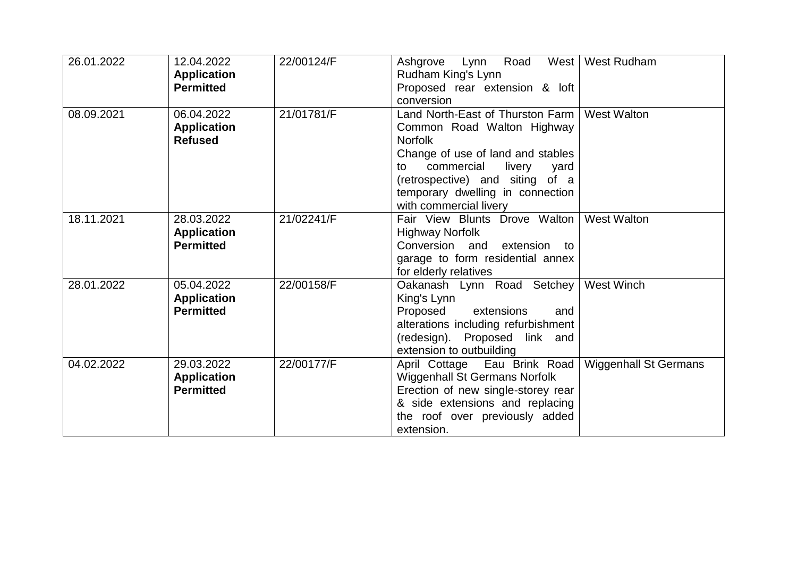| 26.01.2022 | 12.04.2022<br><b>Application</b><br><b>Permitted</b> | 22/00124/F | Road<br>Ashgrove Lynn<br>Rudham King's Lynn<br>Proposed rear extension & loft                                                                                                                                                                                | West   West Rudham           |
|------------|------------------------------------------------------|------------|--------------------------------------------------------------------------------------------------------------------------------------------------------------------------------------------------------------------------------------------------------------|------------------------------|
|            |                                                      |            | conversion                                                                                                                                                                                                                                                   |                              |
| 08.09.2021 | 06.04.2022<br><b>Application</b><br><b>Refused</b>   | 21/01781/F | Land North-East of Thurston Farm<br>Common Road Walton Highway<br><b>Norfolk</b><br>Change of use of land and stables<br>commercial<br>livery<br>yard<br>to<br>(retrospective) and siting of a<br>temporary dwelling in connection<br>with commercial livery | <b>West Walton</b>           |
| 18.11.2021 | 28.03.2022<br><b>Application</b><br><b>Permitted</b> | 21/02241/F | Fair View Blunts Drove Walton<br><b>Highway Norfolk</b><br>Conversion and extension to<br>garage to form residential annex<br>for elderly relatives                                                                                                          | <b>West Walton</b>           |
| 28.01.2022 | 05.04.2022<br><b>Application</b><br><b>Permitted</b> | 22/00158/F | Oakanash Lynn Road Setchey<br>King's Lynn<br>Proposed extensions<br>and<br>alterations including refurbishment<br>(redesign). Proposed link and<br>extension to outbuilding                                                                                  | <b>West Winch</b>            |
| 04.02.2022 | 29.03.2022<br><b>Application</b><br><b>Permitted</b> | 22/00177/F | April Cottage Eau Brink Road<br>Wiggenhall St Germans Norfolk<br>Erection of new single-storey rear<br>& side extensions and replacing<br>the roof over previously added<br>extension.                                                                       | <b>Wiggenhall St Germans</b> |